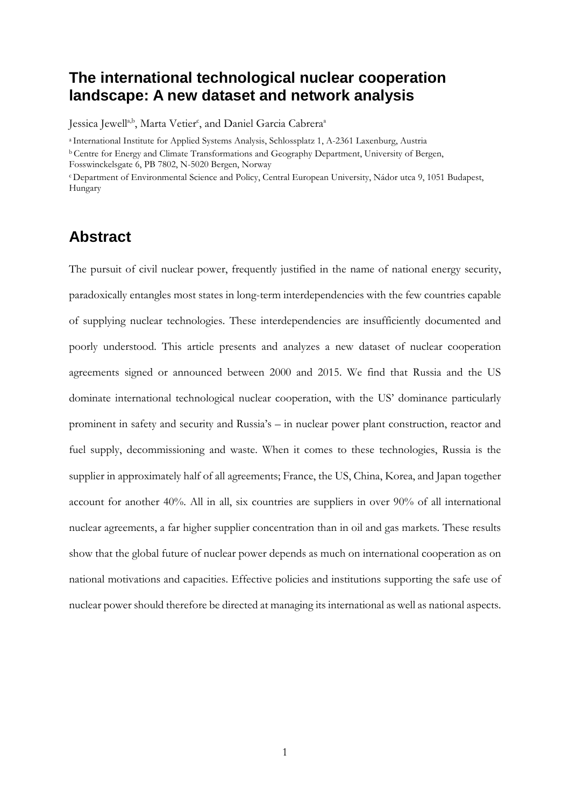# **The international technological nuclear cooperation landscape: A new dataset and network analysis**

Jessica Jewell<sup>a,b</sup>, Marta Vetier<sup>c</sup>, and Daniel Garcia Cabrera<sup>a</sup>

a International Institute for Applied Systems Analysis, Schlossplatz 1, A-2361 Laxenburg, Austria

b Centre for Energy and Climate Transformations and Geography Department, University of Bergen,

Fosswinckelsgate 6, PB 7802, N-5020 Bergen, Norway

<sup>c</sup> Department of Environmental Science and Policy, Central European University, Nádor utca 9, 1051 Budapest, Hungary

# **Abstract**

The pursuit of civil nuclear power, frequently justified in the name of national energy security, paradoxically entangles most states in long-term interdependencies with the few countries capable of supplying nuclear technologies. These interdependencies are insufficiently documented and poorly understood. This article presents and analyzes a new dataset of nuclear cooperation agreements signed or announced between 2000 and 2015. We find that Russia and the US dominate international technological nuclear cooperation, with the US' dominance particularly prominent in safety and security and Russia's – in nuclear power plant construction, reactor and fuel supply, decommissioning and waste. When it comes to these technologies, Russia is the supplier in approximately half of all agreements; France, the US, China, Korea, and Japan together account for another 40%. All in all, six countries are suppliers in over 90% of all international nuclear agreements, a far higher supplier concentration than in oil and gas markets. These results show that the global future of nuclear power depends as much on international cooperation as on national motivations and capacities. Effective policies and institutions supporting the safe use of nuclear power should therefore be directed at managing its international as well as national aspects.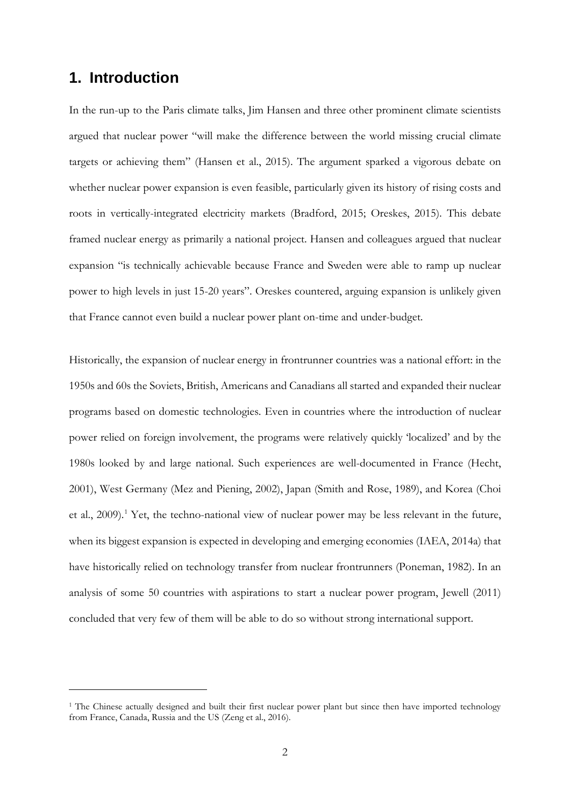## **1. Introduction**

 $\overline{a}$ 

In the run-up to the Paris climate talks, Jim Hansen and three other prominent climate scientists argued that nuclear power "will make the difference between the world missing crucial climate targets or achieving them" (Hansen et al., 2015). The argument sparked a vigorous debate on whether nuclear power expansion is even feasible, particularly given its history of rising costs and roots in vertically-integrated electricity markets (Bradford, 2015; Oreskes, 2015). This debate framed nuclear energy as primarily a national project. Hansen and colleagues argued that nuclear expansion "is technically achievable because France and Sweden were able to ramp up nuclear power to high levels in just 15-20 years". Oreskes countered, arguing expansion is unlikely given that France cannot even build a nuclear power plant on-time and under-budget.

Historically, the expansion of nuclear energy in frontrunner countries was a national effort: in the 1950s and 60s the Soviets, British, Americans and Canadians all started and expanded their nuclear programs based on domestic technologies. Even in countries where the introduction of nuclear power relied on foreign involvement, the programs were relatively quickly 'localized' and by the 1980s looked by and large national. Such experiences are well-documented in France (Hecht, 2001), West Germany (Mez and Piening, 2002), Japan (Smith and Rose, 1989), and Korea (Choi et al., 2009). [1](#page-1-0) Yet, the techno-national view of nuclear power may be less relevant in the future, when its biggest expansion is expected in developing and emerging economies (IAEA, 2014a) that have historically relied on technology transfer from nuclear frontrunners (Poneman, 1982). In an analysis of some 50 countries with aspirations to start a nuclear power program, Jewell (2011) concluded that very few of them will be able to do so without strong international support.

<span id="page-1-0"></span><sup>&</sup>lt;sup>1</sup> The Chinese actually designed and built their first nuclear power plant but since then have imported technology from France, Canada, Russia and the US (Zeng et al., 2016).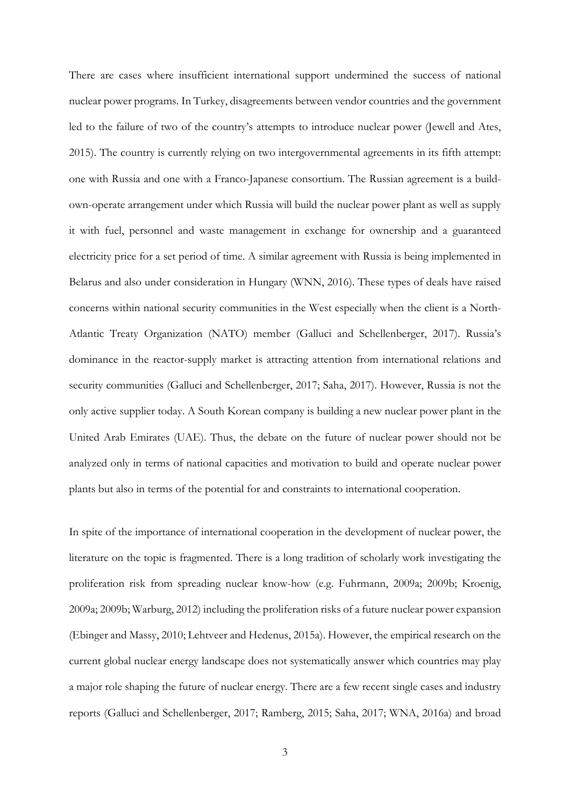There are cases where insufficient international support undermined the success of national nuclear power programs. In Turkey, disagreements between vendor countries and the government led to the failure of two of the country's attempts to introduce nuclear power (Jewell and Ates, 2015). The country is currently relying on two intergovernmental agreements in its fifth attempt: one with Russia and one with a Franco-Japanese consortium. The Russian agreement is a buildown-operate arrangement under which Russia will build the nuclear power plant as well as supply it with fuel, personnel and waste management in exchange for ownership and a guaranteed electricity price for a set period of time. A similar agreement with Russia is being implemented in Belarus and also under consideration in Hungary (WNN, 2016). These types of deals have raised concerns within national security communities in the West especially when the client is a North-Atlantic Treaty Organization (NATO) member (Galluci and Schellenberger, 2017). Russia's dominance in the reactor-supply market is attracting attention from international relations and security communities (Galluci and Schellenberger, 2017; Saha, 2017). However, Russia is not the only active supplier today. A South Korean company is building a new nuclear power plant in the United Arab Emirates (UAE). Thus, the debate on the future of nuclear power should not be analyzed only in terms of national capacities and motivation to build and operate nuclear power plants but also in terms of the potential for and constraints to international cooperation.

In spite of the importance of international cooperation in the development of nuclear power, the literature on the topic is fragmented. There is a long tradition of scholarly work investigating the proliferation risk from spreading nuclear know-how (e.g. Fuhrmann, 2009a; 2009b; Kroenig, 2009a; 2009b; Warburg, 2012) including the proliferation risks of a future nuclear power expansion (Ebinger and Massy, 2010; Lehtveer and Hedenus, 2015a). However, the empirical research on the current global nuclear energy landscape does not systematically answer which countries may play a major role shaping the future of nuclear energy. There are a few recent single cases and industry reports (Galluci and Schellenberger, 2017; Ramberg, 2015; Saha, 2017; WNA, 2016a) and broad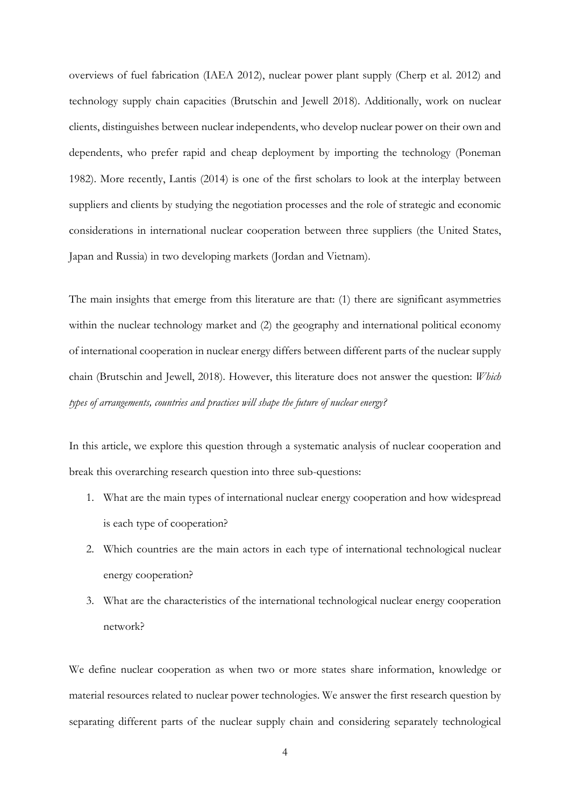overviews of fuel fabrication (IAEA 2012), nuclear power plant supply (Cherp et al. 2012) and technology supply chain capacities (Brutschin and Jewell 2018). Additionally, work on nuclear clients, distinguishes between nuclear independents, who develop nuclear power on their own and dependents, who prefer rapid and cheap deployment by importing the technology (Poneman 1982). More recently, Lantis (2014) is one of the first scholars to look at the interplay between suppliers and clients by studying the negotiation processes and the role of strategic and economic considerations in international nuclear cooperation between three suppliers (the United States, Japan and Russia) in two developing markets (Jordan and Vietnam).

The main insights that emerge from this literature are that: (1) there are significant asymmetries within the nuclear technology market and  $(2)$  the geography and international political economy of international cooperation in nuclear energy differs between different parts of the nuclear supply chain (Brutschin and Jewell, 2018). However, this literature does not answer the question: *Which types of arrangements, countries and practices will shape the future of nuclear energy?*

In this article, we explore this question through a systematic analysis of nuclear cooperation and break this overarching research question into three sub-questions:

- 1. What are the main types of international nuclear energy cooperation and how widespread is each type of cooperation?
- 2. Which countries are the main actors in each type of international technological nuclear energy cooperation?
- 3. What are the characteristics of the international technological nuclear energy cooperation network?

We define nuclear cooperation as when two or more states share information, knowledge or material resources related to nuclear power technologies. We answer the first research question by separating different parts of the nuclear supply chain and considering separately technological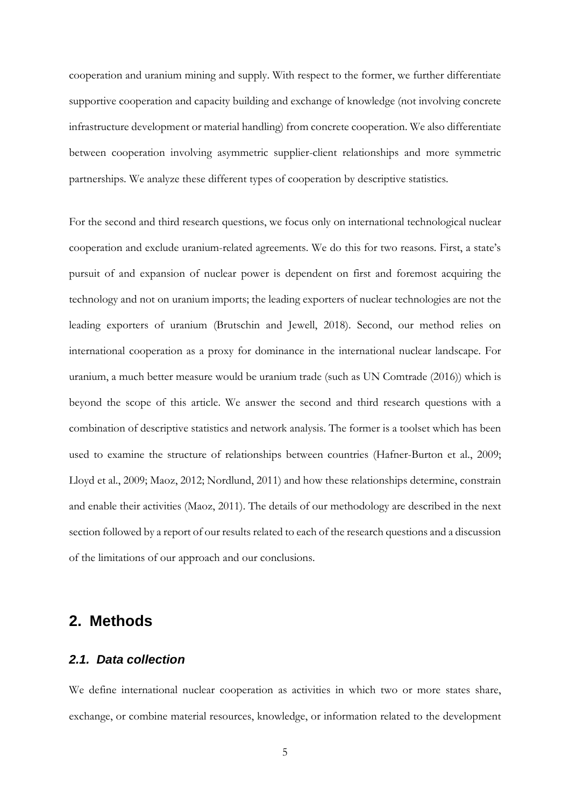cooperation and uranium mining and supply. With respect to the former, we further differentiate supportive cooperation and capacity building and exchange of knowledge (not involving concrete infrastructure development or material handling) from concrete cooperation. We also differentiate between cooperation involving asymmetric supplier-client relationships and more symmetric partnerships. We analyze these different types of cooperation by descriptive statistics.

For the second and third research questions, we focus only on international technological nuclear cooperation and exclude uranium-related agreements. We do this for two reasons. First, a state's pursuit of and expansion of nuclear power is dependent on first and foremost acquiring the technology and not on uranium imports; the leading exporters of nuclear technologies are not the leading exporters of uranium (Brutschin and Jewell, 2018). Second, our method relies on international cooperation as a proxy for dominance in the international nuclear landscape. For uranium, a much better measure would be uranium trade (such as UN Comtrade (2016)) which is beyond the scope of this article. We answer the second and third research questions with a combination of descriptive statistics and network analysis. The former is a toolset which has been used to examine the structure of relationships between countries (Hafner-Burton et al., 2009; Lloyd et al., 2009; Maoz, 2012; Nordlund, 2011) and how these relationships determine, constrain and enable their activities (Maoz, 2011). The details of our methodology are described in the next section followed by a report of our results related to each of the research questions and a discussion of the limitations of our approach and our conclusions.

### <span id="page-4-1"></span><span id="page-4-0"></span>**2. Methods**

#### *2.1. Data collection*

We define international nuclear cooperation as activities in which two or more states share, exchange, or combine material resources, knowledge, or information related to the development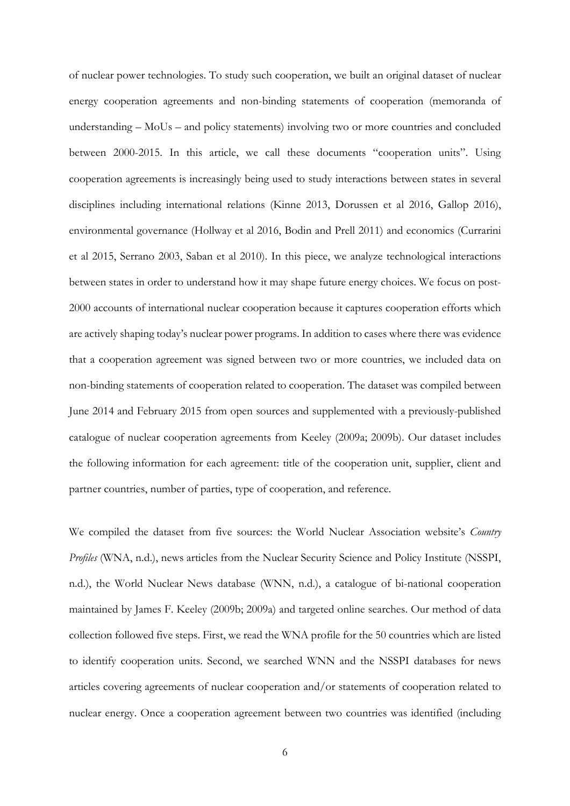of nuclear power technologies. To study such cooperation, we built an original dataset of nuclear energy cooperation agreements and non-binding statements of cooperation (memoranda of understanding – MoUs – and policy statements) involving two or more countries and concluded between 2000-2015. In this article, we call these documents "cooperation units". Using cooperation agreements is increasingly being used to study interactions between states in several disciplines including international relations (Kinne 2013, Dorussen et al 2016, Gallop 2016), environmental governance (Hollway et al 2016, Bodin and Prell 2011) and economics (Currarini et al 2015, Serrano 2003, Saban et al 2010). In this piece, we analyze technological interactions between states in order to understand how it may shape future energy choices. We focus on post-2000 accounts of international nuclear cooperation because it captures cooperation efforts which are actively shaping today's nuclear power programs. In addition to cases where there was evidence that a cooperation agreement was signed between two or more countries, we included data on non-binding statements of cooperation related to cooperation. The dataset was compiled between June 2014 and February 2015 from open sources and supplemented with a previously-published catalogue of nuclear cooperation agreements from Keeley (2009a; 2009b). Our dataset includes the following information for each agreement: title of the cooperation unit, supplier, client and partner countries, number of parties, type of cooperation, and reference.

We compiled the dataset from five sources: the World Nuclear Association website's *Country Profiles* (WNA, n.d.), news articles from the Nuclear Security Science and Policy Institute (NSSPI, n.d.), the World Nuclear News database (WNN, n.d.), a catalogue of bi-national cooperation maintained by James F. Keeley (2009b; 2009a) and targeted online searches. Our method of data collection followed five steps. First, we read the WNA profile for the 50 countries which are listed to identify cooperation units. Second, we searched WNN and the NSSPI databases for news articles covering agreements of nuclear cooperation and/or statements of cooperation related to nuclear energy. Once a cooperation agreement between two countries was identified (including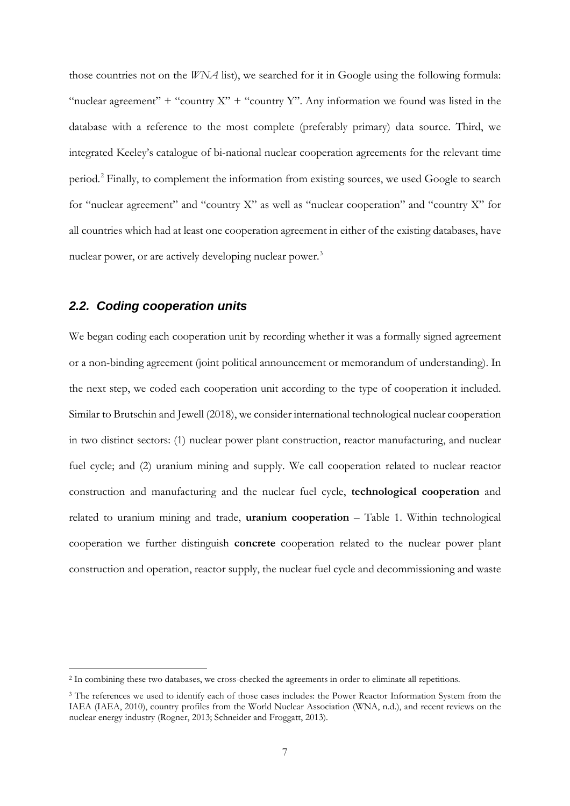those countries not on the *WNA* list), we searched for it in Google using the following formula: "nuclear agreement" + "country  $X$ " + "country Y". Any information we found was listed in the database with a reference to the most complete (preferably primary) data source. Third, we integrated Keeley's catalogue of bi-national nuclear cooperation agreements for the relevant time period.<sup>[2](#page-6-0)</sup> Finally, to complement the information from existing sources, we used Google to search for "nuclear agreement" and "country X" as well as "nuclear cooperation" and "country X" for all countries which had at least one cooperation agreement in either of the existing databases, have nuclear power, or are actively developing nuclear power.<sup>[3](#page-6-1)</sup>

#### *2.2. Coding cooperation units*

We began coding each cooperation unit by recording whether it was a formally signed agreement or a non-binding agreement (joint political announcement or memorandum of understanding). In the next step, we coded each cooperation unit according to the type of cooperation it included. Similar to Brutschin and Jewell (2018), we consider international technological nuclear cooperation in two distinct sectors: (1) nuclear power plant construction, reactor manufacturing, and nuclear fuel cycle; and (2) uranium mining and supply. We call cooperation related to nuclear reactor construction and manufacturing and the nuclear fuel cycle, **technological cooperation** and related to uranium mining and trade, **uranium cooperation** – [Table 1.](#page-8-0) Within technological cooperation we further distinguish **concrete** cooperation related to the nuclear power plant construction and operation, reactor supply, the nuclear fuel cycle and decommissioning and waste

<span id="page-6-0"></span> <sup>2</sup> In combining these two databases, we cross-checked the agreements in order to eliminate all repetitions.

<span id="page-6-1"></span><sup>&</sup>lt;sup>3</sup> The references we used to identify each of those cases includes: the Power Reactor Information System from the IAEA (IAEA, 2010), country profiles from the World Nuclear Association (WNA, n.d.), and recent reviews on the nuclear energy industry (Rogner, 2013; Schneider and Froggatt, 2013).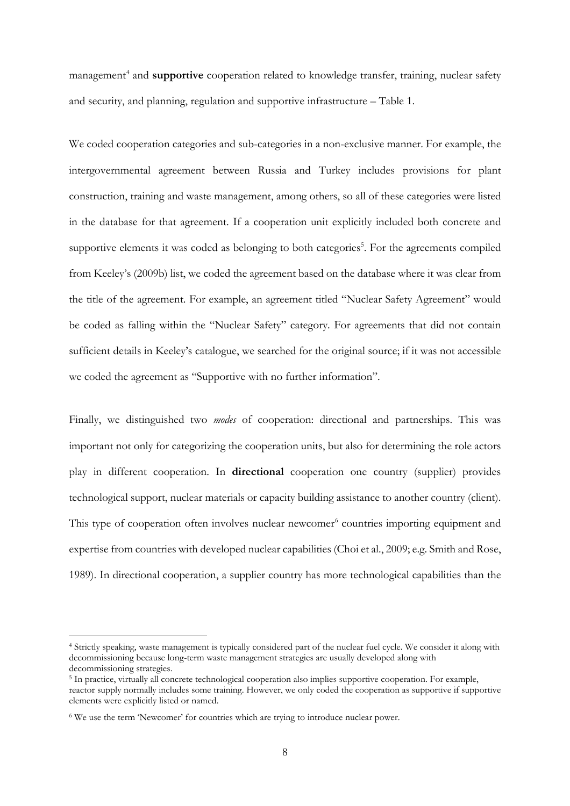management<sup>[4](#page-7-0)</sup> and **supportive** cooperation related to knowledge transfer, training, nuclear safety and security, and planning, regulation and supportive infrastructure – [Table 1.](#page-8-0)

We coded cooperation categories and sub-categories in a non-exclusive manner. For example, the intergovernmental agreement between Russia and Turkey includes provisions for plant construction, training and waste management, among others, so all of these categories were listed in the database for that agreement. If a cooperation unit explicitly included both concrete and supportive elements it was coded as belonging to both categories<sup>[5](#page-7-1)</sup>. For the agreements compiled from Keeley's (2009b) list, we coded the agreement based on the database where it was clear from the title of the agreement. For example, an agreement titled "Nuclear Safety Agreement" would be coded as falling within the "Nuclear Safety" category. For agreements that did not contain sufficient details in Keeley's catalogue, we searched for the original source; if it was not accessible we coded the agreement as "Supportive with no further information".

Finally, we distinguished two *modes* of cooperation: directional and partnerships. This was important not only for categorizing the cooperation units, but also for determining the role actors play in different cooperation. In **directional** cooperation one country (supplier) provides technological support, nuclear materials or capacity building assistance to another country (client). This type of cooperation often involves nuclear newcomer<sup>[6](#page-7-2)</sup> countries importing equipment and expertise from countries with developed nuclear capabilities (Choi et al., 2009; e.g. Smith and Rose, 1989). In directional cooperation, a supplier country has more technological capabilities than the

<span id="page-7-0"></span> <sup>4</sup> Strictly speaking, waste management is typically considered part of the nuclear fuel cycle. We consider it along with decommissioning because long-term waste management strategies are usually developed along with decommissioning strategies.

<span id="page-7-1"></span><sup>5</sup> In practice, virtually all concrete technological cooperation also implies supportive cooperation. For example, reactor supply normally includes some training. However, we only coded the cooperation as supportive if supportive elements were explicitly listed or named.

<span id="page-7-2"></span><sup>&</sup>lt;sup>6</sup> We use the term 'Newcomer' for countries which are trying to introduce nuclear power.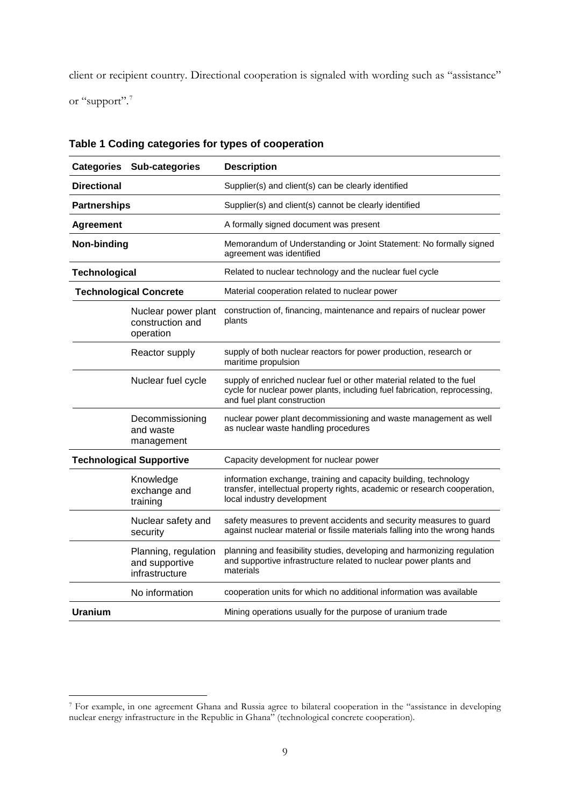client or recipient country. Directional cooperation is signaled with wording such as "assistance" or "support".<sup>[7](#page-8-1)</sup>

| <b>Categories</b>                    | Sub-categories                                           | <b>Description</b>                                                                                                                                                                |
|--------------------------------------|----------------------------------------------------------|-----------------------------------------------------------------------------------------------------------------------------------------------------------------------------------|
| <b>Directional</b>                   |                                                          | Supplier(s) and client(s) can be clearly identified                                                                                                                               |
| <b>Partnerships</b>                  |                                                          | Supplier(s) and client(s) cannot be clearly identified                                                                                                                            |
| <b>Agreement</b>                     |                                                          | A formally signed document was present                                                                                                                                            |
| Non-binding                          |                                                          | Memorandum of Understanding or Joint Statement: No formally signed<br>agreement was identified                                                                                    |
| <b>Technological</b>                 |                                                          | Related to nuclear technology and the nuclear fuel cycle                                                                                                                          |
|                                      | <b>Technological Concrete</b>                            | Material cooperation related to nuclear power                                                                                                                                     |
|                                      | Nuclear power plant<br>construction and<br>operation     | construction of, financing, maintenance and repairs of nuclear power<br>plants                                                                                                    |
| Reactor supply<br>Nuclear fuel cycle |                                                          | supply of both nuclear reactors for power production, research or<br>maritime propulsion                                                                                          |
|                                      |                                                          | supply of enriched nuclear fuel or other material related to the fuel<br>cycle for nuclear power plants, including fuel fabrication, reprocessing,<br>and fuel plant construction |
|                                      | Decommissioning<br>and waste<br>management               | nuclear power plant decommissioning and waste management as well<br>as nuclear waste handling procedures                                                                          |
|                                      | <b>Technological Supportive</b>                          | Capacity development for nuclear power                                                                                                                                            |
|                                      | Knowledge<br>exchange and<br>training                    | information exchange, training and capacity building, technology<br>transfer, intellectual property rights, academic or research cooperation,<br>local industry development       |
|                                      | Nuclear safety and<br>security                           | safety measures to prevent accidents and security measures to guard<br>against nuclear material or fissile materials falling into the wrong hands                                 |
|                                      | Planning, regulation<br>and supportive<br>infrastructure | planning and feasibility studies, developing and harmonizing regulation<br>and supportive infrastructure related to nuclear power plants and<br>materials                         |
|                                      | No information                                           | cooperation units for which no additional information was available                                                                                                               |
| <b>Uranium</b>                       |                                                          | Mining operations usually for the purpose of uranium trade                                                                                                                        |

<span id="page-8-0"></span>**Table 1 Coding categories for types of cooperation**

<span id="page-8-1"></span> <sup>7</sup> For example, in one agreement Ghana and Russia agree to bilateral cooperation in the "assistance in developing nuclear energy infrastructure in the Republic in Ghana" (technological concrete cooperation).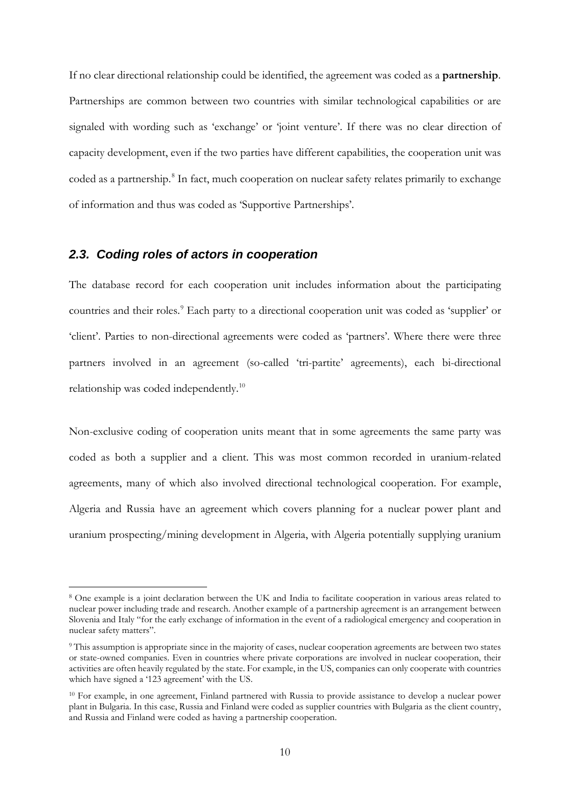If no clear directional relationship could be identified, the agreement was coded as a **partnership**. Partnerships are common between two countries with similar technological capabilities or are signaled with wording such as 'exchange' or 'joint venture'. If there was no clear direction of capacity development, even if the two parties have different capabilities, the cooperation unit was coded as a partnership.<sup>[8](#page-9-0)</sup> In fact, much cooperation on nuclear safety relates primarily to exchange of information and thus was coded as 'Supportive Partnerships'.

#### *2.3. Coding roles of actors in cooperation*

The database record for each cooperation unit includes information about the participating countries and their roles. [9](#page-9-1) Each party to a directional cooperation unit was coded as 'supplier' or 'client'. Parties to non-directional agreements were coded as 'partners'. Where there were three partners involved in an agreement (so-called 'tri-partite' agreements), each bi-directional relationship was coded independently[.10](#page-9-2)

Non-exclusive coding of cooperation units meant that in some agreements the same party was coded as both a supplier and a client. This was most common recorded in uranium-related agreements, many of which also involved directional technological cooperation. For example, Algeria and Russia have an agreement which covers planning for a nuclear power plant and uranium prospecting/mining development in Algeria, with Algeria potentially supplying uranium

<span id="page-9-0"></span> <sup>8</sup> One example is a joint declaration between the UK and India to facilitate cooperation in various areas related to nuclear power including trade and research. Another example of a partnership agreement is an arrangement between Slovenia and Italy "for the early exchange of information in the event of a radiological emergency and cooperation in nuclear safety matters".

<span id="page-9-1"></span><sup>9</sup> This assumption is appropriate since in the majority of cases, nuclear cooperation agreements are between two states or state-owned companies. Even in countries where private corporations are involved in nuclear cooperation, their activities are often heavily regulated by the state. For example, in the US, companies can only cooperate with countries which have signed a '123 agreement' with the US.

<span id="page-9-2"></span><sup>10</sup> For example, in one agreement, Finland partnered with Russia to provide assistance to develop a nuclear power plant in Bulgaria. In this case, Russia and Finland were coded as supplier countries with Bulgaria as the client country, and Russia and Finland were coded as having a partnership cooperation.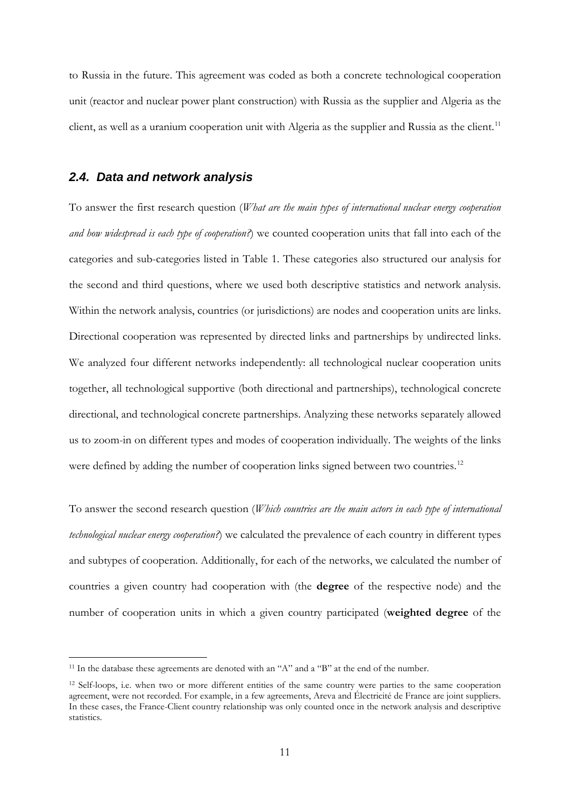to Russia in the future. This agreement was coded as both a concrete technological cooperation unit (reactor and nuclear power plant construction) with Russia as the supplier and Algeria as the client, as well as a uranium cooperation unit with Algeria as the supplier and Russia as the client.<sup>[11](#page-10-0)</sup>

#### <span id="page-10-2"></span>*2.4. Data and network analysis*

To answer the first research question (*What are the main types of international nuclear energy cooperation and how widespread is each type of cooperation?*) we counted cooperation units that fall into each of the categories and sub-categories listed in [Table 1.](#page-8-0) These categories also structured our analysis for the second and third questions, where we used both descriptive statistics and network analysis. Within the network analysis, countries (or jurisdictions) are nodes and cooperation units are links. Directional cooperation was represented by directed links and partnerships by undirected links. We analyzed four different networks independently: all technological nuclear cooperation units together, all technological supportive (both directional and partnerships), technological concrete directional, and technological concrete partnerships. Analyzing these networks separately allowed us to zoom-in on different types and modes of cooperation individually. The weights of the links were defined by adding the number of cooperation links signed between two countries.<sup>[12](#page-10-1)</sup>

To answer the second research question (*Which countries are the main actors in each type of international technological nuclear energy cooperation?*) we calculated the prevalence of each country in different types and subtypes of cooperation. Additionally, for each of the networks, we calculated the number of countries a given country had cooperation with (the **degree** of the respective node) and the number of cooperation units in which a given country participated (**weighted degree** of the

<span id="page-10-0"></span><sup>&</sup>lt;sup>11</sup> In the database these agreements are denoted with an "A" and a "B" at the end of the number.

<span id="page-10-1"></span><sup>12</sup> Self-loops, i.e. when two or more different entities of the same country were parties to the same cooperation agreement, were not recorded. For example, in a few agreements, Areva and Électricité de France are joint suppliers. In these cases, the France-Client country relationship was only counted once in the network analysis and descriptive statistics.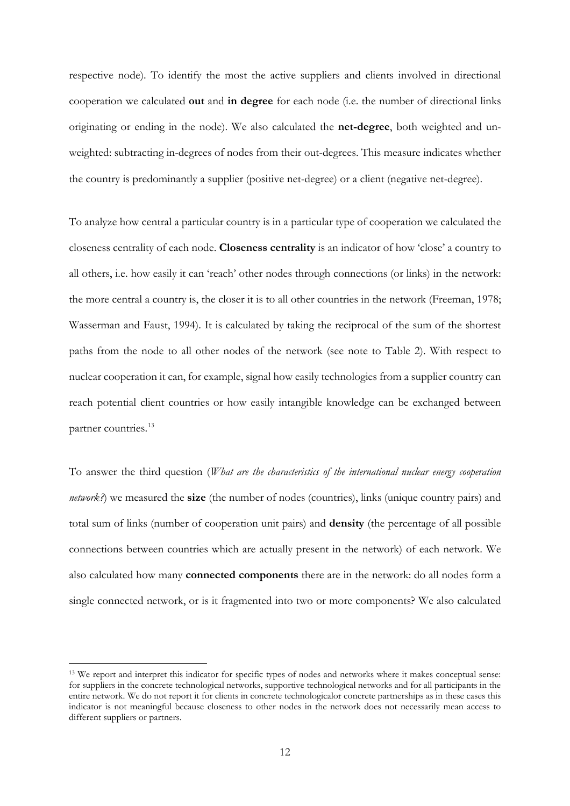respective node). To identify the most the active suppliers and clients involved in directional cooperation we calculated **out** and **in degree** for each node (i.e. the number of directional links originating or ending in the node). We also calculated the **net-degree**, both weighted and unweighted: subtracting in-degrees of nodes from their out-degrees. This measure indicates whether the country is predominantly a supplier (positive net-degree) or a client (negative net-degree).

To analyze how central a particular country is in a particular type of cooperation we calculated the closeness centrality of each node. **Closeness centrality** is an indicator of how 'close' a country to all others, i.e. how easily it can 'reach' other nodes through connections (or links) in the network: the more central a country is, the closer it is to all other countries in the network (Freeman, 1978; Wasserman and Faust, 1994). It is calculated by taking the reciprocal of the sum of the shortest paths from the node to all other nodes of the network (see note to [Table 2\)](#page-13-0). With respect to nuclear cooperation it can, for example, signal how easily technologies from a supplier country can reach potential client countries or how easily intangible knowledge can be exchanged between partner countries. [13](#page-11-0)

To answer the third question (*What are the characteristics of the international nuclear energy cooperation network?*) we measured the **size** (the number of nodes (countries), links (unique country pairs) and total sum of links (number of cooperation unit pairs) and **density** (the percentage of all possible connections between countries which are actually present in the network) of each network. We also calculated how many **connected components** there are in the network: do all nodes form a single connected network, or is it fragmented into two or more components? We also calculated

<span id="page-11-0"></span><sup>&</sup>lt;sup>13</sup> We report and interpret this indicator for specific types of nodes and networks where it makes conceptual sense: for suppliers in the concrete technological networks, supportive technological networks and for all participants in the entire network. We do not report it for clients in concrete technologicalor concrete partnerships as in these cases this indicator is not meaningful because closeness to other nodes in the network does not necessarily mean access to different suppliers or partners.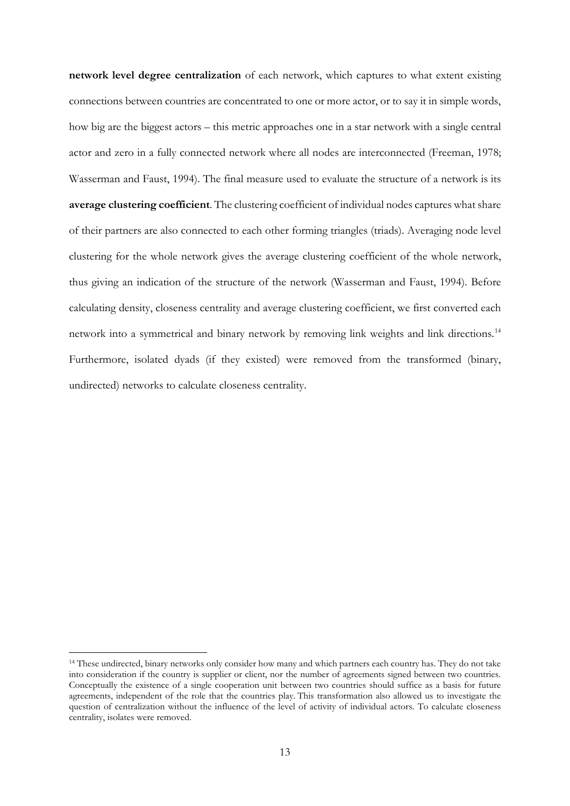**network level degree centralization** of each network, which captures to what extent existing connections between countries are concentrated to one or more actor, or to say it in simple words, how big are the biggest actors – this metric approaches one in a star network with a single central actor and zero in a fully connected network where all nodes are interconnected (Freeman, 1978; Wasserman and Faust, 1994). The final measure used to evaluate the structure of a network is its **average clustering coefficient**. The clustering coefficient of individual nodes captures what share of their partners are also connected to each other forming triangles (triads). Averaging node level clustering for the whole network gives the average clustering coefficient of the whole network, thus giving an indication of the structure of the network (Wasserman and Faust, 1994). Before calculating density, closeness centrality and average clustering coefficient, we first converted each network into a symmetrical and binary network by removing link weights and link directions. [14](#page-12-0) Furthermore, isolated dyads (if they existed) were removed from the transformed (binary, undirected) networks to calculate closeness centrality.

<span id="page-12-0"></span><sup>&</sup>lt;sup>14</sup> These undirected, binary networks only consider how many and which partners each country has. They do not take into consideration if the country is supplier or client, nor the number of agreements signed between two countries. Conceptually the existence of a single cooperation unit between two countries should suffice as a basis for future agreements, independent of the role that the countries play. This transformation also allowed us to investigate the question of centralization without the influence of the level of activity of individual actors. To calculate closeness centrality, isolates were removed.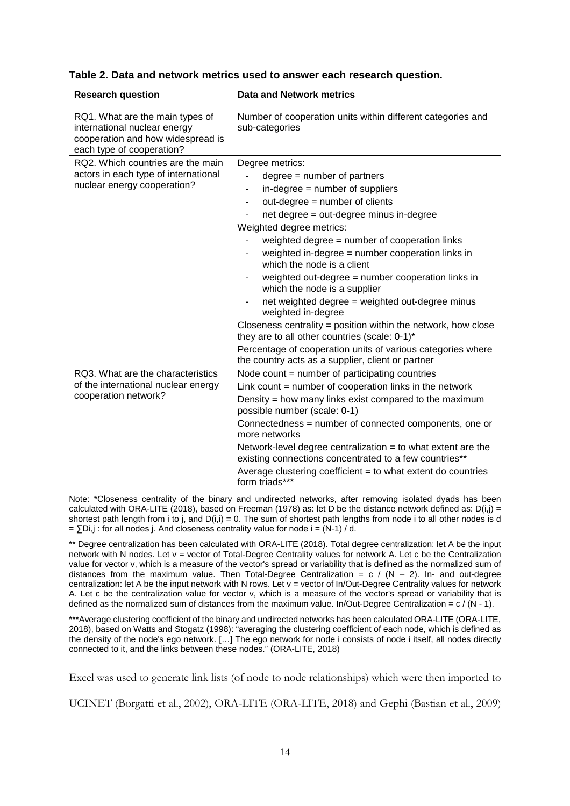| <b>Research question</b>                                                                                                          | <b>Data and Network metrics</b>                                                                                                                                                                                                                                                                                                                                                                                                                                                                                                                                                                                                                                                |
|-----------------------------------------------------------------------------------------------------------------------------------|--------------------------------------------------------------------------------------------------------------------------------------------------------------------------------------------------------------------------------------------------------------------------------------------------------------------------------------------------------------------------------------------------------------------------------------------------------------------------------------------------------------------------------------------------------------------------------------------------------------------------------------------------------------------------------|
| RQ1. What are the main types of<br>international nuclear energy<br>cooperation and how widespread is<br>each type of cooperation? | Number of cooperation units within different categories and<br>sub-categories                                                                                                                                                                                                                                                                                                                                                                                                                                                                                                                                                                                                  |
| RQ2. Which countries are the main<br>actors in each type of international<br>nuclear energy cooperation?                          | Degree metrics:<br>$degree = number of partners$<br>in-degree = number of suppliers<br>out-degree = number of clients<br>net degree = out-degree minus in-degree<br>Weighted degree metrics:<br>weighted degree = number of cooperation links<br>weighted in-degree = number cooperation links in<br>which the node is a client<br>weighted out-degree = number cooperation links in<br>which the node is a supplier<br>net weighted degree = weighted out-degree minus<br>weighted in-degree<br>Closeness centrality = position within the network, how close<br>they are to all other countries (scale: 0-1)*<br>Percentage of cooperation units of various categories where |
| RQ3. What are the characteristics<br>of the international nuclear energy<br>cooperation network?                                  | the country acts as a supplier, client or partner<br>Node count $=$ number of participating countries<br>Link count $=$ number of cooperation links in the network<br>Density = how many links exist compared to the maximum<br>possible number (scale: 0-1)<br>Connectedness = number of connected components, one or<br>more networks<br>Network-level degree centralization $=$ to what extent are the<br>existing connections concentrated to a few countries**<br>Average clustering coefficient $=$ to what extent do countries<br>form triads***                                                                                                                        |

<span id="page-13-0"></span>**Table 2. Data and network metrics used to answer each research question.**

Note: \*Closeness centrality of the binary and undirected networks, after removing isolated dyads has been calculated with ORA-LITE (2018), based on Freeman (1978) as: let D be the distance network defined as:  $D(i,j)$  = shortest path length from i to j, and  $D(i,i) = 0$ . The sum of shortest path lengths from node i to all other nodes is d  $=$   $\sum$ Di,j : for all nodes j. And closeness centrality value for node i = (N-1) / d.

\*\* Degree centralization has been calculated with ORA-LITE (2018). Total degree centralization: let A be the input network with N nodes. Let v = vector of Total-Degree Centrality values for network A. Let c be the Centralization value for vector v, which is a measure of the vector's spread or variability that is defined as the normalized sum of distances from the maximum value. Then Total-Degree Centralization =  $c / (N - 2)$ . In- and out-degree centralization: let A be the input network with N rows. Let v = vector of In/Out-Degree Centrality values for network A. Let c be the centralization value for vector v, which is a measure of the vector's spread or variability that is defined as the normalized sum of distances from the maximum value. In/Out-Degree Centralization =  $c / (N - 1)$ .

\*\*\*Average clustering coefficient of the binary and undirected networks has been calculated ORA-LITE (ORA-LITE, 2018), based on Watts and Stogatz (1998): "averaging the clustering coefficient of each node, which is defined as the density of the node's ego network. […] The ego network for node i consists of node i itself, all nodes directly connected to it, and the links between these nodes." (ORA-LITE, 2018)

Excel was used to generate link lists (of node to node relationships) which were then imported to

UCINET (Borgatti et al., 2002), ORA-LITE (ORA-LITE, 2018) and Gephi (Bastian et al., 2009)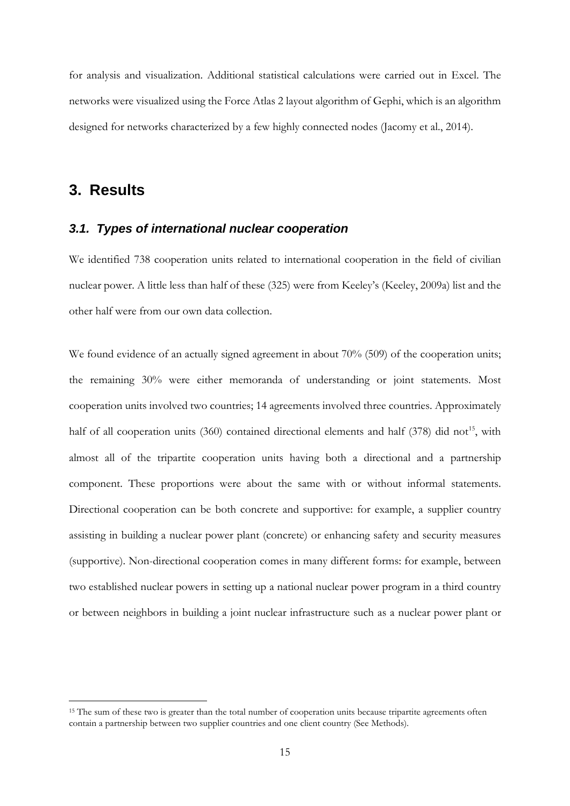for analysis and visualization. Additional statistical calculations were carried out in Excel. The networks were visualized using the Force Atlas 2 layout algorithm of Gephi, which is an algorithm designed for networks characterized by a few highly connected nodes (Jacomy et al., 2014).

## **3. Results**

#### *3.1. Types of international nuclear cooperation*

We identified 738 cooperation units related to international cooperation in the field of civilian nuclear power. A little less than half of these (325) were from Keeley's (Keeley, 2009a) list and the other half were from our own data collection.

We found evidence of an actually signed agreement in about 70% (509) of the cooperation units; the remaining 30% were either memoranda of understanding or joint statements. Most cooperation units involved two countries; 14 agreements involved three countries. Approximately half of all cooperation units  $(360)$  contained directional elements and half  $(378)$  did not<sup>15</sup>, with almost all of the tripartite cooperation units having both a directional and a partnership component. These proportions were about the same with or without informal statements. Directional cooperation can be both concrete and supportive: for example, a supplier country assisting in building a nuclear power plant (concrete) or enhancing safety and security measures (supportive). Non-directional cooperation comes in many different forms: for example, between two established nuclear powers in setting up a national nuclear power program in a third country or between neighbors in building a joint nuclear infrastructure such as a nuclear power plant or

<span id="page-14-0"></span><sup>&</sup>lt;sup>15</sup> The sum of these two is greater than the total number of cooperation units because tripartite agreements often contain a partnership between two supplier countries and one client country (See Methods).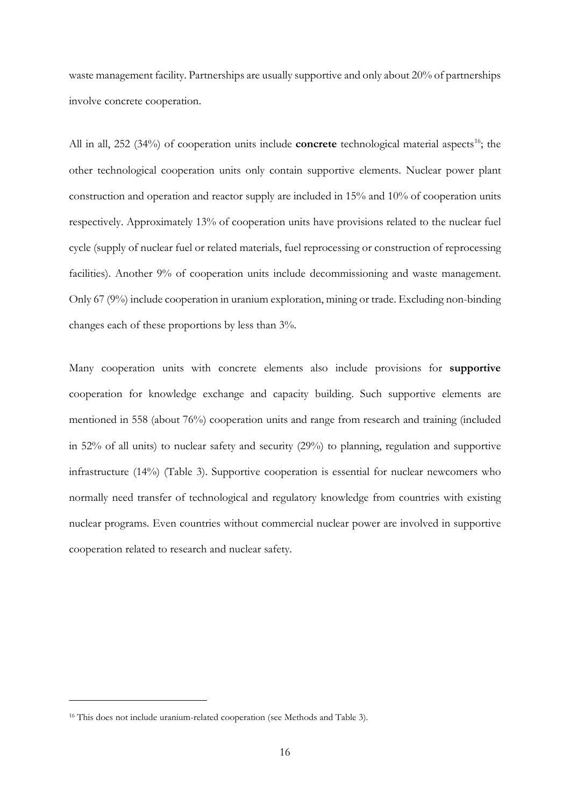waste management facility. Partnerships are usually supportive and only about 20% of partnerships involve concrete cooperation.

All in all, 252 (34%) of cooperation units include **concrete** technological material aspects<sup>16</sup>; the other technological cooperation units only contain supportive elements. Nuclear power plant construction and operation and reactor supply are included in 15% and 10% of cooperation units respectively. Approximately 13% of cooperation units have provisions related to the nuclear fuel cycle (supply of nuclear fuel or related materials, fuel reprocessing or construction of reprocessing facilities). Another 9% of cooperation units include decommissioning and waste management. Only 67 (9%) include cooperation in uranium exploration, mining or trade. Excluding non-binding changes each of these proportions by less than 3%.

Many cooperation units with concrete elements also include provisions for **supportive** cooperation for knowledge exchange and capacity building. Such supportive elements are mentioned in 558 (about 76%) cooperation units and range from research and training (included in 52% of all units) to nuclear safety and security (29%) to planning, regulation and supportive infrastructure (14%) [\(Table 3\)](#page-16-0). Supportive cooperation is essential for nuclear newcomers who normally need transfer of technological and regulatory knowledge from countries with existing nuclear programs. Even countries without commercial nuclear power are involved in supportive cooperation related to research and nuclear safety.

 $\overline{a}$ 

<span id="page-15-0"></span><sup>&</sup>lt;sup>16</sup> This does not include uranium-related cooperation (see [Methods](#page-4-0) and [Table 3\)](#page-16-0).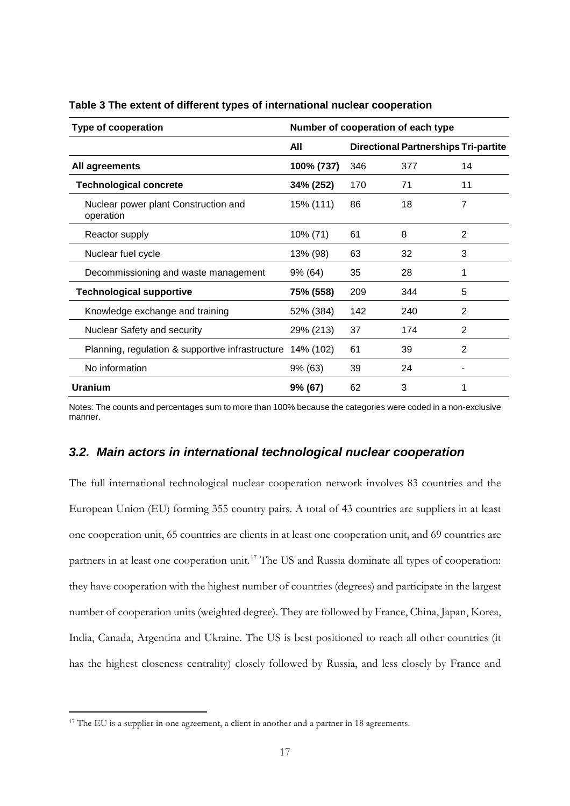| <b>Type of cooperation</b>                        | Number of cooperation of each type |     |                                             |    |  |
|---------------------------------------------------|------------------------------------|-----|---------------------------------------------|----|--|
|                                                   | All                                |     | <b>Directional Partnerships Tri-partite</b> |    |  |
| All agreements                                    | 100% (737)                         | 346 | 377                                         | 14 |  |
| <b>Technological concrete</b>                     | 34% (252)                          | 170 | 71                                          | 11 |  |
| Nuclear power plant Construction and<br>operation | 15% (111)                          | 86  | 18                                          | 7  |  |
| Reactor supply                                    | 10% (71)                           | 61  | 8                                           | 2  |  |
| Nuclear fuel cycle                                | 13% (98)                           | 63  | 32                                          | 3  |  |
| Decommissioning and waste management              | 9% (64)                            | 35  | 28                                          | 1  |  |
| <b>Technological supportive</b>                   | 75% (558)                          | 209 | 344                                         | 5  |  |
| Knowledge exchange and training                   | 52% (384)                          | 142 | 240                                         | 2  |  |
| <b>Nuclear Safety and security</b>                | 29% (213)                          | 37  | 174                                         | 2  |  |
| Planning, regulation & supportive infrastructure  | 14% (102)                          | 61  | 39                                          | 2  |  |
| No information                                    | 9% (63)                            | 39  | 24                                          |    |  |
| <b>Uranium</b>                                    | 9% (67)                            | 62  | 3                                           | 1  |  |

<span id="page-16-0"></span>**Table 3 The extent of different types of international nuclear cooperation**

Notes: The counts and percentages sum to more than 100% because the categories were coded in a non-exclusive manner.

#### *3.2. Main actors in international technological nuclear cooperation*

The full international technological nuclear cooperation network involves 83 countries and the European Union (EU) forming 355 country pairs. A total of 43 countries are suppliers in at least one cooperation unit, 65 countries are clients in at least one cooperation unit, and 69 countries are partners in at least one cooperation unit.<sup>[17](#page-16-1)</sup> The US and Russia dominate all types of cooperation: they have cooperation with the highest number of countries (degrees) and participate in the largest number of cooperation units (weighted degree). They are followed by France, China, Japan, Korea, India, Canada, Argentina and Ukraine. The US is best positioned to reach all other countries (it has the highest closeness centrality) closely followed by Russia, and less closely by France and

<span id="page-16-1"></span><sup>&</sup>lt;sup>17</sup> The EU is a supplier in one agreement, a client in another and a partner in 18 agreements.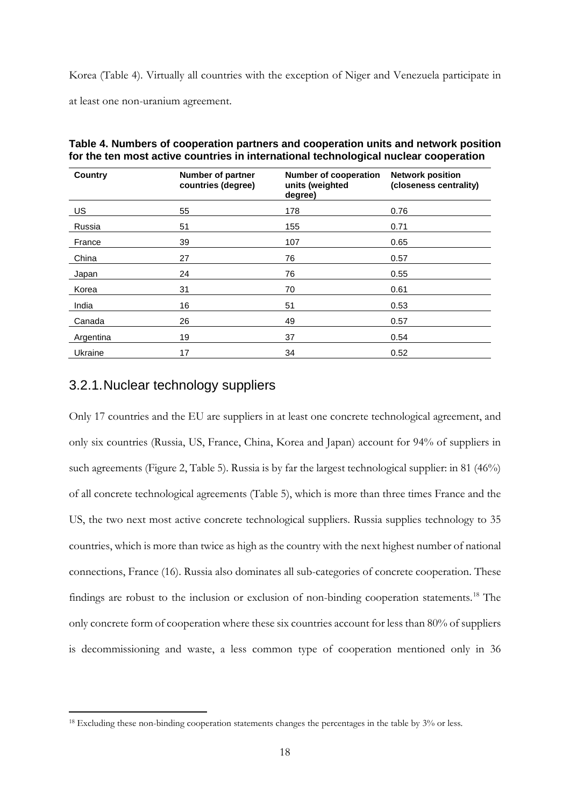Korea [\(Table 4\)](#page-17-0). Virtually all countries with the exception of Niger and Venezuela participate in at least one non-uranium agreement.

| <b>Country</b> | <b>Number of partner</b><br>countries (degree) | <b>Number of cooperation</b><br>units (weighted<br>degree) | <b>Network position</b><br>(closeness centrality) |
|----------------|------------------------------------------------|------------------------------------------------------------|---------------------------------------------------|
| US             | 55                                             | 178                                                        | 0.76                                              |
| Russia         | 51                                             | 155                                                        | 0.71                                              |
| France         | 39                                             | 107                                                        | 0.65                                              |
| China          | 27                                             | 76                                                         | 0.57                                              |
| Japan          | 24                                             | 76                                                         | 0.55                                              |
| Korea          | 31                                             | 70                                                         | 0.61                                              |
| India          | 16                                             | 51                                                         | 0.53                                              |
| Canada         | 26                                             | 49                                                         | 0.57                                              |
| Argentina      | 19                                             | 37                                                         | 0.54                                              |
| Ukraine        | 17                                             | 34                                                         | 0.52                                              |

<span id="page-17-0"></span>**Table 4. Numbers of cooperation partners and cooperation units and network position for the ten most active countries in international technological nuclear cooperation** 

#### 3.2.1.Nuclear technology suppliers

Only 17 countries and the EU are suppliers in at least one concrete technological agreement, and only six countries (Russia, US, France, China, Korea and Japan) account for 94% of suppliers in such agreements [\(Figure 2,](#page-26-0) [Table 5\)](#page-18-0). Russia is by far the largest technological supplier: in 81 (46%) of all concrete technological agreements [\(Table 5\)](#page-18-0), which is more than three times France and the US, the two next most active concrete technological suppliers. Russia supplies technology to 35 countries, which is more than twice as high as the country with the next highest number of national connections, France (16). Russia also dominates all sub-categories of concrete cooperation. These findings are robust to the inclusion or exclusion of non-binding cooperation statements. [18](#page-17-1) The only concrete form of cooperation where these six countries account for less than 80% of suppliers is decommissioning and waste, a less common type of cooperation mentioned only in 36

<span id="page-17-1"></span><sup>&</sup>lt;sup>18</sup> Excluding these non-binding cooperation statements changes the percentages in the table by 3% or less.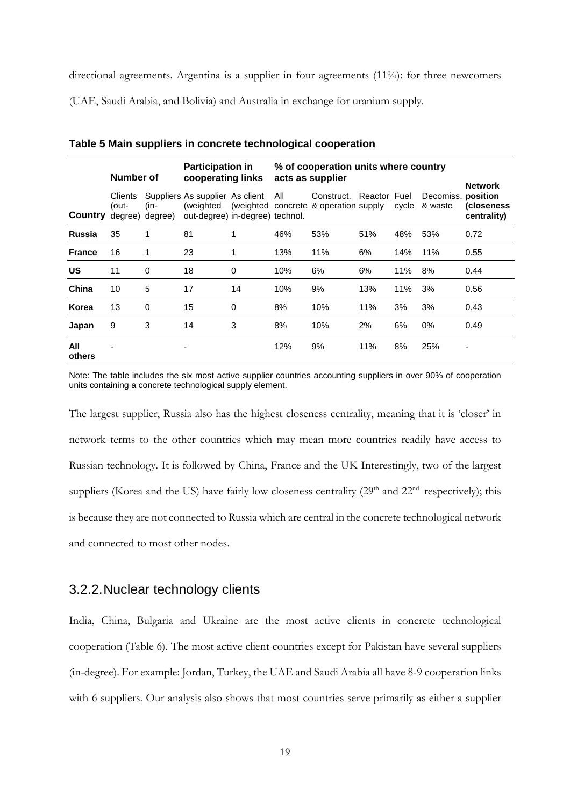directional agreements. Argentina is a supplier in four agreements (11%): for three newcomers

(UAE, Saudi Arabia, and Bolivia) and Australia in exchange for uranium supply.

|                | Number of        |                            | <b>Participation in</b><br>cooperating links                       |          | % of cooperation units where country<br>acts as supplier |                                                               |              |       |                               | <b>Network</b>                    |
|----------------|------------------|----------------------------|--------------------------------------------------------------------|----------|----------------------------------------------------------|---------------------------------------------------------------|--------------|-------|-------------------------------|-----------------------------------|
| <b>Country</b> | Clients<br>(out- | $(in-)$<br>degree) degree) | Suppliers As supplier As client<br>out-degree) in-degree) technol. |          | All                                                      | Construct.<br>(weighted (weighted concrete & operation supply | Reactor Fuel | cycle | Decomiss. position<br>& waste | <i>(</i> closeness<br>centrality) |
| <b>Russia</b>  | 35               | 1                          | 81                                                                 |          | 46%                                                      | 53%                                                           | 51%          | 48%   | 53%                           | 0.72                              |
| <b>France</b>  | 16               | 1                          | 23                                                                 |          | 13%                                                      | 11%                                                           | 6%           | 14%   | 11%                           | 0.55                              |
| <b>US</b>      | 11               | $\mathbf 0$                | 18                                                                 | $\Omega$ | 10%                                                      | 6%                                                            | 6%           | 11%   | 8%                            | 0.44                              |
| China          | 10               | 5                          | 17                                                                 | 14       | 10%                                                      | 9%                                                            | 13%          | 11%   | 3%                            | 0.56                              |
| Korea          | 13               | 0                          | 15                                                                 | 0        | 8%                                                       | 10%                                                           | 11%          | 3%    | 3%                            | 0.43                              |
| Japan          | 9                | 3                          | 14                                                                 | 3        | 8%                                                       | 10%                                                           | 2%           | 6%    | 0%                            | 0.49                              |
| All<br>others  |                  |                            |                                                                    |          | 12%                                                      | 9%                                                            | 11%          | 8%    | 25%                           |                                   |

<span id="page-18-0"></span>**Table 5 Main suppliers in concrete technological cooperation**

Note: The table includes the six most active supplier countries accounting suppliers in over 90% of cooperation units containing a concrete technological supply element.

The largest supplier, Russia also has the highest closeness centrality, meaning that it is 'closer' in network terms to the other countries which may mean more countries readily have access to Russian technology. It is followed by China, France and the UK Interestingly, two of the largest suppliers (Korea and the US) have fairly low closeness centrality (29<sup>th</sup> and 22<sup>nd</sup> respectively); this is because they are not connected to Russia which are central in the concrete technological network and connected to most other nodes.

#### 3.2.2.Nuclear technology clients

India, China, Bulgaria and Ukraine are the most active clients in concrete technological cooperation [\(Table 6\)](#page-19-0). The most active client countries except for Pakistan have several suppliers (in-degree). For example: Jordan, Turkey, the UAE and Saudi Arabia all have 8-9 cooperation links with 6 suppliers. Our analysis also shows that most countries serve primarily as either a supplier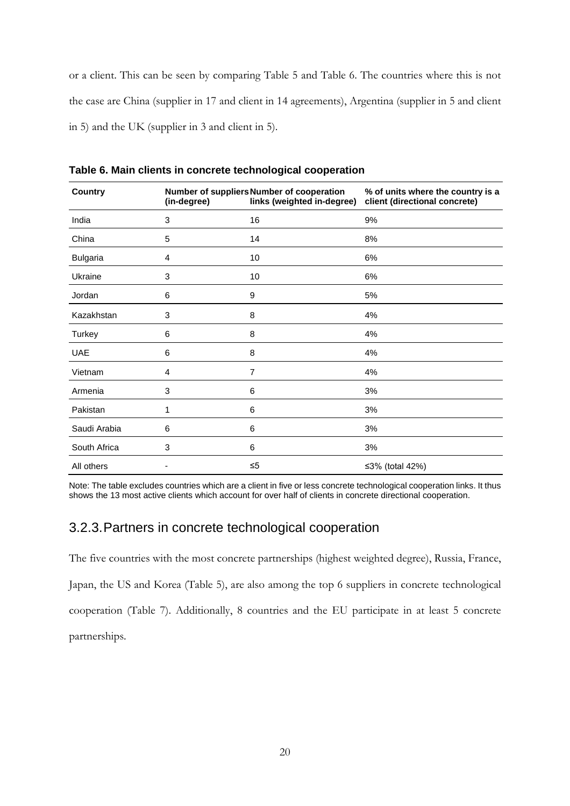or a client. This can be seen by comparing [Table 5](#page-18-0) and [Table 6.](#page-19-0) The countries where this is not the case are China (supplier in 17 and client in 14 agreements), Argentina (supplier in 5 and client in 5) and the UK (supplier in 3 and client in 5).

| <b>Country</b>  | (in-degree) | Number of suppliers Number of cooperation<br>links (weighted in-degree) | % of units where the country is a<br>client (directional concrete) |
|-----------------|-------------|-------------------------------------------------------------------------|--------------------------------------------------------------------|
| India           | 3           | 16                                                                      | 9%                                                                 |
| China           | 5           | 14                                                                      | 8%                                                                 |
| <b>Bulgaria</b> | 4           | 10                                                                      | 6%                                                                 |
| Ukraine         | 3           | 10                                                                      | 6%                                                                 |
| Jordan          | 6           | 9                                                                       | 5%                                                                 |
| Kazakhstan      | 3           | 8                                                                       | 4%                                                                 |
| Turkey          | 6           | 8                                                                       | 4%                                                                 |
| <b>UAE</b>      | 6           | 8                                                                       | 4%                                                                 |
| Vietnam         | 4           | $\overline{7}$                                                          | 4%                                                                 |
| Armenia         | 3           | 6                                                                       | 3%                                                                 |
| Pakistan        | 1           | 6                                                                       | 3%                                                                 |
| Saudi Arabia    | 6           | 6                                                                       | 3%                                                                 |
| South Africa    | 3           | 6                                                                       | 3%                                                                 |
| All others      |             | $\leq 5$                                                                | ≤3% (total 42%)                                                    |

<span id="page-19-0"></span>**Table 6. Main clients in concrete technological cooperation**

Note: The table excludes countries which are a client in five or less concrete technological cooperation links. It thus shows the 13 most active clients which account for over half of clients in concrete directional cooperation.

### 3.2.3.Partners in concrete technological cooperation

The five countries with the most concrete partnerships (highest weighted degree), Russia, France, Japan, the US and Korea [\(Table 5\)](#page-18-0), are also among the top 6 suppliers in concrete technological cooperation [\(Table 7\)](#page-20-0). Additionally, 8 countries and the EU participate in at least 5 concrete partnerships.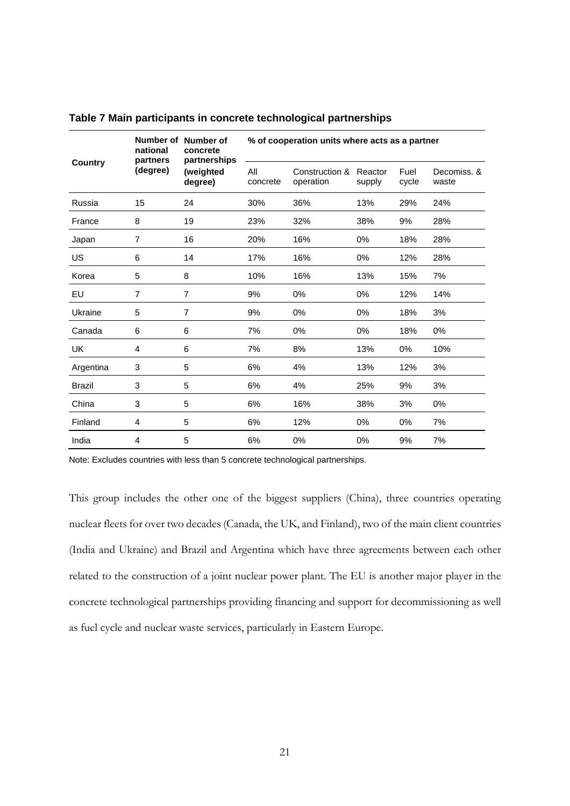|               | national<br>partners | Number of Number of<br>concrete<br>partnerships<br>(weighted<br>degree) | % of cooperation units where acts as a partner |                             |                   |               |                      |  |
|---------------|----------------------|-------------------------------------------------------------------------|------------------------------------------------|-----------------------------|-------------------|---------------|----------------------|--|
| Country       | (degree)             |                                                                         | All<br>concrete                                | Construction &<br>operation | Reactor<br>supply | Fuel<br>cycle | Decomiss, &<br>waste |  |
| Russia        | 15                   | 24                                                                      | 30%                                            | 36%                         | 13%               | 29%           | 24%                  |  |
| France        | 8                    | 19                                                                      | 23%                                            | 32%                         | 38%               | 9%            | 28%                  |  |
| Japan         | $\overline{7}$       | 16                                                                      | 20%                                            | 16%                         | $0\%$             | 18%           | 28%                  |  |
| US            | 6                    | 14                                                                      | 17%                                            | 16%                         | 0%                | 12%           | 28%                  |  |
| Korea         | 5                    | 8                                                                       | 10%                                            | 16%                         | 13%               | 15%           | 7%                   |  |
| EU            | $\overline{7}$       | $\overline{7}$                                                          | 9%                                             | 0%                          | 0%                | 12%           | 14%                  |  |
| Ukraine       | 5                    | $\overline{7}$                                                          | 9%                                             | $0\%$                       | $0\%$             | 18%           | 3%                   |  |
| Canada        | 6                    | 6                                                                       | 7%                                             | 0%                          | $0\%$             | 18%           | 0%                   |  |
| UK            | 4                    | 6                                                                       | 7%                                             | 8%                          | 13%               | 0%            | 10%                  |  |
| Argentina     | 3                    | 5                                                                       | 6%                                             | 4%                          | 13%               | 12%           | 3%                   |  |
| <b>Brazil</b> | 3                    | 5                                                                       | 6%                                             | 4%                          | 25%               | 9%            | 3%                   |  |
| China         | 3                    | 5                                                                       | 6%                                             | 16%                         | 38%               | 3%            | 0%                   |  |
| Finland       | 4                    | 5                                                                       | 6%                                             | 12%                         | 0%                | 0%            | 7%                   |  |
| India         | 4                    | 5                                                                       | 6%                                             | 0%                          | 0%                | 9%            | 7%                   |  |

<span id="page-20-0"></span>**Table 7 Main participants in concrete technological partnerships**

Note: Excludes countries with less than 5 concrete technological partnerships.

This group includes the other one of the biggest suppliers (China), three countries operating nuclear fleets for over two decades (Canada, the UK, and Finland), two of the main client countries (India and Ukraine) and Brazil and Argentina which have three agreements between each other related to the construction of a joint nuclear power plant. The EU is another major player in the concrete technological partnerships providing financing and support for decommissioning as well as fuel cycle and nuclear waste services, particularly in Eastern Europe.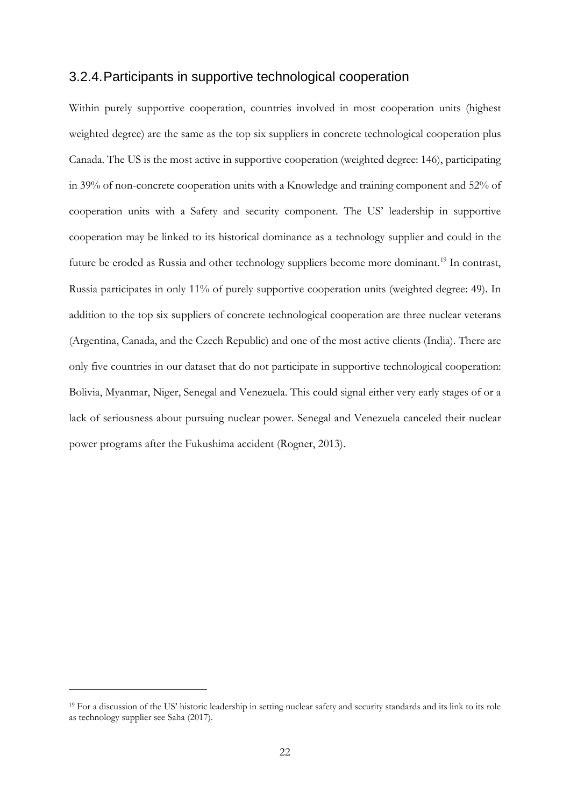#### 3.2.4.Participants in supportive technological cooperation

Within purely supportive cooperation, countries involved in most cooperation units (highest weighted degree) are the same as the top six suppliers in concrete technological cooperation plus Canada. The US is the most active in supportive cooperation (weighted degree: 146), participating in 39% of non-concrete cooperation units with a Knowledge and training component and 52% of cooperation units with a Safety and security component. The US' leadership in supportive cooperation may be linked to its historical dominance as a technology supplier and could in the future be eroded as Russia and other technology suppliers become more dominant.<sup>[19](#page-21-0)</sup> In contrast, Russia participates in only 11% of purely supportive cooperation units (weighted degree: 49). In addition to the top six suppliers of concrete technological cooperation are three nuclear veterans (Argentina, Canada, and the Czech Republic) and one of the most active clients (India). There are only five countries in our dataset that do not participate in supportive technological cooperation: Bolivia, Myanmar, Niger, Senegal and Venezuela. This could signal either very early stages of or a lack of seriousness about pursuing nuclear power. Senegal and Venezuela canceled their nuclear power programs after the Fukushima accident (Rogner, 2013).

 $\overline{a}$ 

<span id="page-21-0"></span><sup>&</sup>lt;sup>19</sup> For a discussion of the US' historic leadership in setting nuclear safety and security standards and its link to its role as technology supplier see Saha (2017).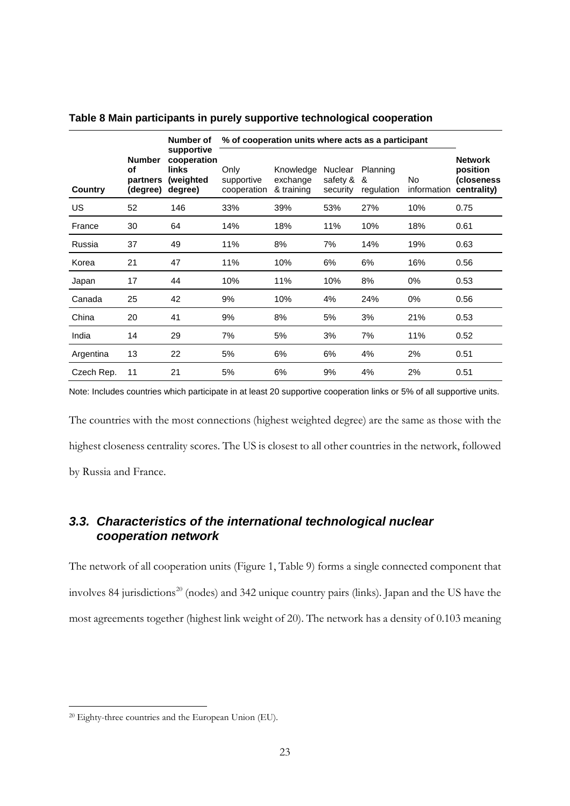|            |                                             | Number of                                                  | % of cooperation units where acts as a participant |                                     |                                 |                             |                          |                                                         |
|------------|---------------------------------------------|------------------------------------------------------------|----------------------------------------------------|-------------------------------------|---------------------------------|-----------------------------|--------------------------|---------------------------------------------------------|
| Country    | <b>Number</b><br>οf<br>partners<br>(degree) | supportive<br>cooperation<br>links<br>(weighted<br>degree) | Only<br>supportive<br>cooperation                  | Knowledge<br>exchange<br>& training | Nuclear<br>safety &<br>security | Planning<br>&<br>regulation | <b>No</b><br>information | <b>Network</b><br>position<br>(closeness<br>centrality) |
| US         | 52                                          | 146                                                        | 33%                                                | 39%                                 | 53%                             | 27%                         | 10%                      | 0.75                                                    |
| France     | 30                                          | 64                                                         | 14%                                                | 18%                                 | 11%                             | 10%                         | 18%                      | 0.61                                                    |
| Russia     | 37                                          | 49                                                         | 11%                                                | 8%                                  | 7%                              | 14%                         | 19%                      | 0.63                                                    |
| Korea      | 21                                          | 47                                                         | 11%                                                | 10%                                 | 6%                              | 6%                          | 16%                      | 0.56                                                    |
| Japan      | 17                                          | 44                                                         | 10%                                                | 11%                                 | 10%                             | 8%                          | $0\%$                    | 0.53                                                    |
| Canada     | 25                                          | 42                                                         | 9%                                                 | 10%                                 | 4%                              | 24%                         | 0%                       | 0.56                                                    |
| China      | 20                                          | 41                                                         | 9%                                                 | 8%                                  | 5%                              | 3%                          | 21%                      | 0.53                                                    |
| India      | 14                                          | 29                                                         | 7%                                                 | 5%                                  | 3%                              | 7%                          | 11%                      | 0.52                                                    |
| Argentina  | 13                                          | 22                                                         | 5%                                                 | 6%                                  | 6%                              | 4%                          | 2%                       | 0.51                                                    |
| Czech Rep. | 11                                          | 21                                                         | 5%                                                 | 6%                                  | 9%                              | 4%                          | 2%                       | 0.51                                                    |

<span id="page-22-1"></span>**Table 8 Main participants in purely supportive technological cooperation**

Note: Includes countries which participate in at least 20 supportive cooperation links or 5% of all supportive units.

The countries with the most connections (highest weighted degree) are the same as those with the highest closeness centrality scores. The US is closest to all other countries in the network, followed by Russia and France.

### *3.3. Characteristics of the international technological nuclear cooperation network*

The network of all cooperation units [\(Figure 1,](#page-23-0) [Table 9\)](#page-24-0) forms a single connected component that involves 84 jurisdictions<sup>[20](#page-22-0)</sup> (nodes) and 342 unique country pairs (links). Japan and the US have the most agreements together (highest link weight of 20). The network has a density of 0.103 meaning

<span id="page-22-0"></span> <sup>20</sup> Eighty-three countries and the European Union (EU).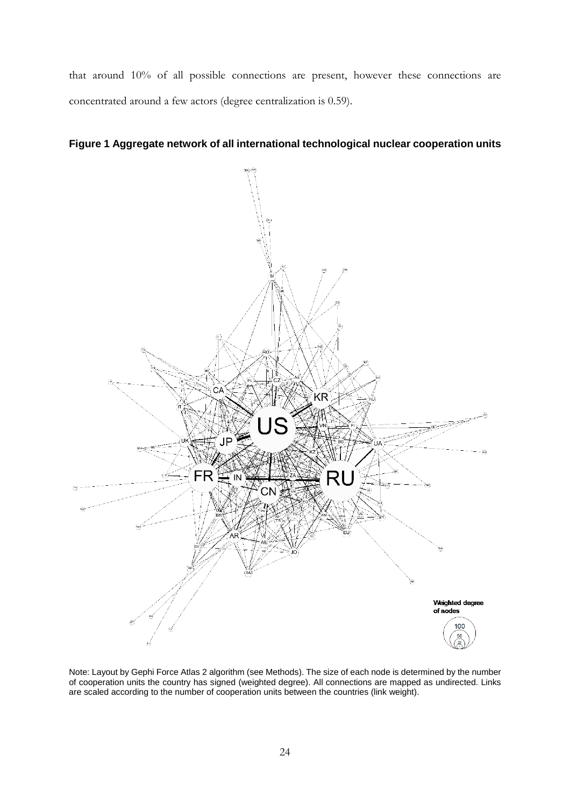that around 10% of all possible connections are present, however these connections are concentrated around a few actors (degree centralization is 0.59).

<span id="page-23-0"></span>



Note: Layout by Gephi Force Atlas 2 algorithm (se[e Methods\)](#page-4-0). The size of each node is determined by the number of cooperation units the country has signed (weighted degree). All connections are mapped as undirected. Links are scaled according to the number of cooperation units between the countries (link weight).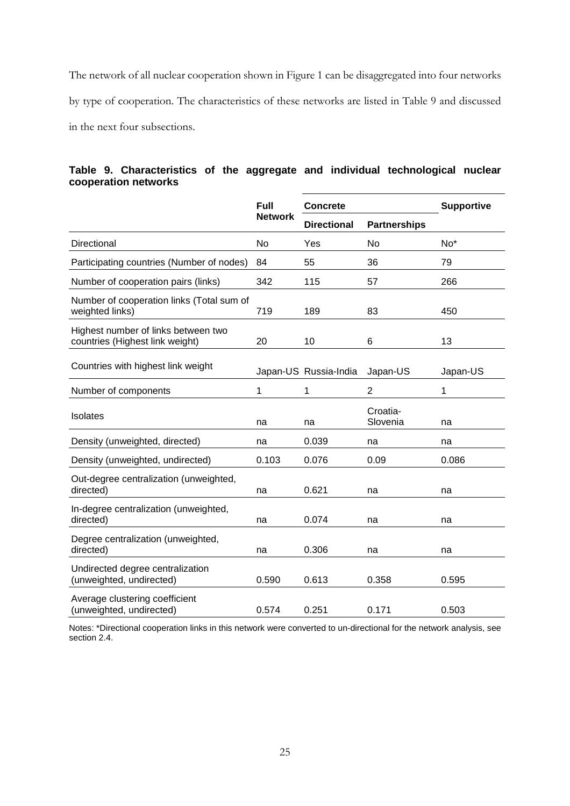The network of all nuclear cooperation shown in [Figure 1](#page-23-0) can be disaggregated into four networks by type of cooperation. The characteristics of these networks are listed in [Table 9](#page-24-0) and discussed in the next four subsections.

### <span id="page-24-0"></span>**Table 9. Characteristics of the aggregate and individual technological nuclear cooperation networks**

|                                                                        | <b>Full</b>    | <b>Concrete</b>       |                      | <b>Supportive</b> |
|------------------------------------------------------------------------|----------------|-----------------------|----------------------|-------------------|
|                                                                        | <b>Network</b> | <b>Directional</b>    | <b>Partnerships</b>  |                   |
| Directional                                                            | No             | Yes                   | No                   | No <sup>*</sup>   |
| Participating countries (Number of nodes)                              | 84             | 55                    | 36                   | 79                |
| Number of cooperation pairs (links)                                    | 342            | 115                   | 57                   | 266               |
| Number of cooperation links (Total sum of<br>weighted links)           | 719            | 189                   | 83                   | 450               |
| Highest number of links between two<br>countries (Highest link weight) | 20             | 10                    | 6                    | 13                |
| Countries with highest link weight                                     |                | Japan-US Russia-India | Japan-US             | Japan-US          |
| Number of components                                                   | 1              | 1                     | $\overline{2}$       | 1                 |
| Isolates                                                               | na             | na                    | Croatia-<br>Slovenia | na                |
| Density (unweighted, directed)                                         | na             | 0.039                 | na                   | na                |
| Density (unweighted, undirected)                                       | 0.103          | 0.076                 | 0.09                 | 0.086             |
| Out-degree centralization (unweighted,<br>directed)                    | na             | 0.621                 | na                   | na                |
| In-degree centralization (unweighted,<br>directed)                     | na             | 0.074                 | na                   | na                |
| Degree centralization (unweighted,<br>directed)                        | na             | 0.306                 | na                   | na                |
| Undirected degree centralization<br>(unweighted, undirected)           | 0.590          | 0.613                 | 0.358                | 0.595             |
| Average clustering coefficient<br>(unweighted, undirected)             | 0.574          | 0.251                 | 0.171                | 0.503             |

Notes: \*Directional cooperation links in this network were converted to un-directional for the network analysis, see section [2.4.](#page-10-2)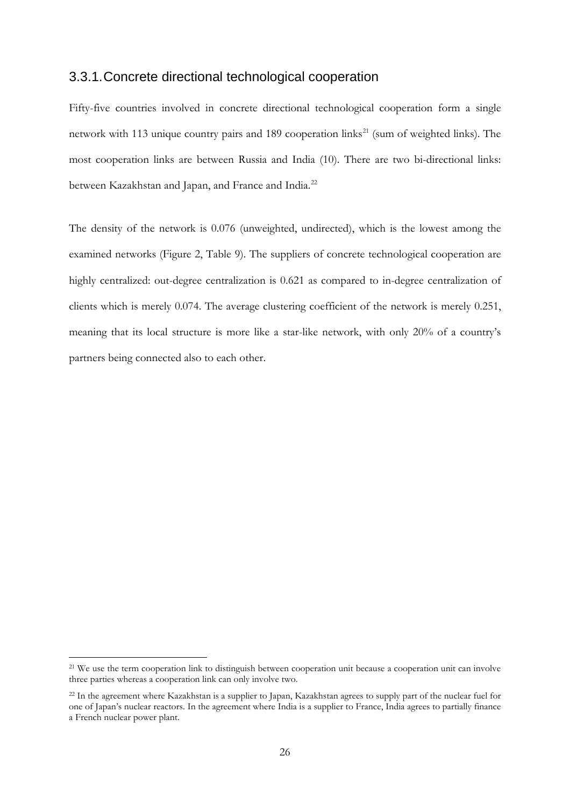### 3.3.1.Concrete directional technological cooperation

Fifty-five countries involved in concrete directional technological cooperation form a single network with 113 unique country pairs and 189 cooperation links<sup>[21](#page-25-0)</sup> (sum of weighted links). The most cooperation links are between Russia and India (10). There are two bi-directional links: between Kazakhstan and Japan, and France and India.<sup>[22](#page-25-1)</sup>

The density of the network is 0.076 (unweighted, undirected), which is the lowest among the examined networks [\(Figure 2,](#page-26-0) [Table 9\)](#page-24-0). The suppliers of concrete technological cooperation are highly centralized: out-degree centralization is 0.621 as compared to in-degree centralization of clients which is merely 0.074. The average clustering coefficient of the network is merely 0.251, meaning that its local structure is more like a star-like network, with only 20% of a country's partners being connected also to each other.

<span id="page-25-0"></span><sup>&</sup>lt;sup>21</sup> We use the term cooperation link to distinguish between cooperation unit because a cooperation unit can involve three parties whereas a cooperation link can only involve two.

<span id="page-25-1"></span><sup>&</sup>lt;sup>22</sup> In the agreement where Kazakhstan is a supplier to Japan, Kazakhstan agrees to supply part of the nuclear fuel for one of Japan's nuclear reactors. In the agreement where India is a supplier to France, India agrees to partially finance a French nuclear power plant.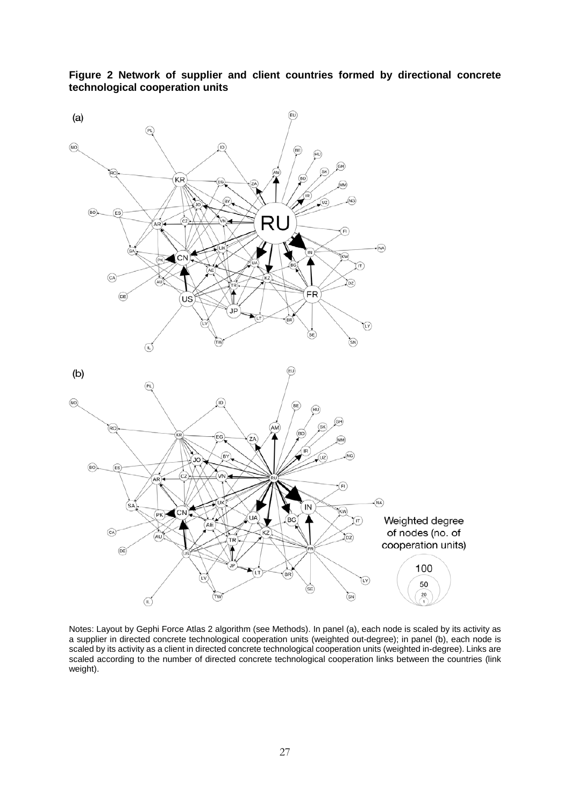

<span id="page-26-0"></span>**Figure 2 Network of supplier and client countries formed by directional concrete technological cooperation units**

Notes: Layout by Gephi Force Atlas 2 algorithm (see [Methods\)](#page-4-0). In panel (a), each node is scaled by its activity as a supplier in directed concrete technological cooperation units (weighted out-degree); in panel (b), each node is scaled by its activity as a client in directed concrete technological cooperation units (weighted in-degree). Links are scaled according to the number of directed concrete technological cooperation links between the countries (link weight).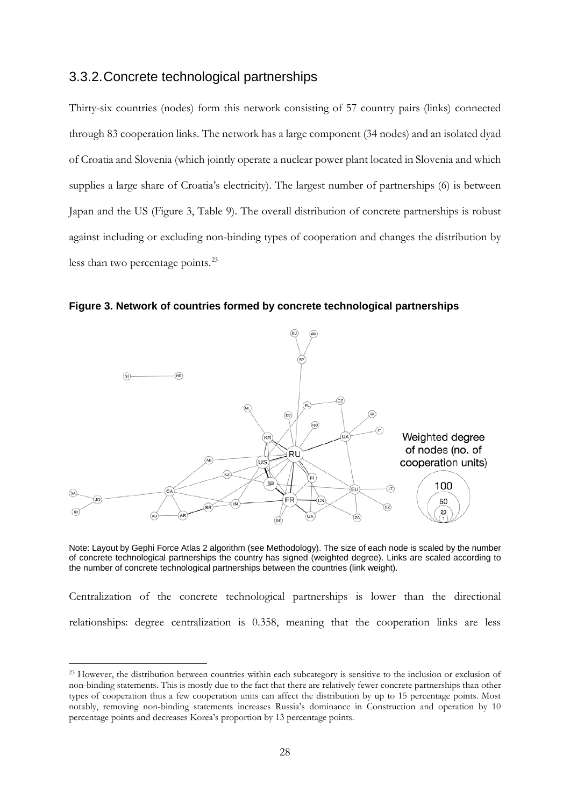#### 3.3.2.Concrete technological partnerships

Thirty-six countries (nodes) form this network consisting of 57 country pairs (links) connected through 83 cooperation links. The network has a large component (34 nodes) and an isolated dyad of Croatia and Slovenia (which jointly operate a nuclear power plant located in Slovenia and which supplies a large share of Croatia's electricity). The largest number of partnerships (6) is between Japan and the US (Figure 3, [Table 9\)](#page-24-0). The overall distribution of concrete partnerships is robust against including or excluding non-binding types of cooperation and changes the distribution by less than two percentage points.<sup>[23](#page-27-0)</sup>

**Figure 3. Network of countries formed by concrete technological partnerships**



Note: Layout by Gephi Force Atlas 2 algorithm (see Methodology). The size of each node is scaled by the number of concrete technological partnerships the country has signed (weighted degree). Links are scaled according to the number of concrete technological partnerships between the countries (link weight).

Centralization of the concrete technological partnerships is lower than the directional relationships: degree centralization is 0.358, meaning that the cooperation links are less

<span id="page-27-0"></span><sup>&</sup>lt;sup>23</sup> However, the distribution between countries within each subcategory is sensitive to the inclusion or exclusion of non-binding statements. This is mostly due to the fact that there are relatively fewer concrete partnerships than other types of cooperation thus a few cooperation units can affect the distribution by up to 15 percentage points. Most notably, removing non-binding statements increases Russia's dominance in Construction and operation by 10 percentage points and decreases Korea's proportion by 13 percentage points.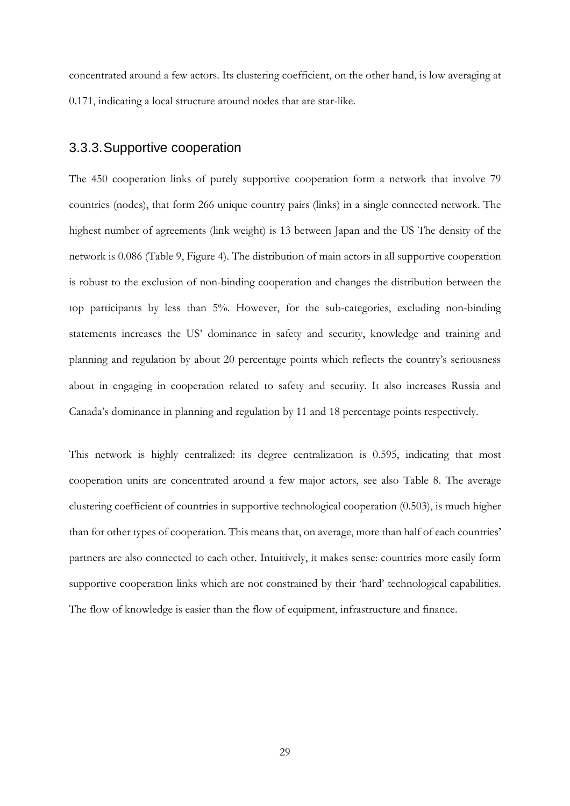concentrated around a few actors. Its clustering coefficient, on the other hand, is low averaging at 0.171, indicating a local structure around nodes that are star-like.

#### 3.3.3.Supportive cooperation

The 450 cooperation links of purely supportive cooperation form a network that involve 79 countries (nodes), that form 266 unique country pairs (links) in a single connected network. The highest number of agreements (link weight) is 13 between Japan and the US The density of the network is 0.086 [\(Table 9,](#page-24-0) Figure 4). The distribution of main actors in all supportive cooperation is robust to the exclusion of non-binding cooperation and changes the distribution between the top participants by less than 5%. However, for the sub-categories, excluding non-binding statements increases the US' dominance in safety and security, knowledge and training and planning and regulation by about 20 percentage points which reflects the country's seriousness about in engaging in cooperation related to safety and security. It also increases Russia and Canada's dominance in planning and regulation by 11 and 18 percentage points respectively.

This network is highly centralized: its degree centralization is 0.595, indicating that most cooperation units are concentrated around a few major actors, see also [Table 8.](#page-22-1) The average clustering coefficient of countries in supportive technological cooperation (0.503), is much higher than for other types of cooperation. This means that, on average, more than half of each countries' partners are also connected to each other. Intuitively, it makes sense: countries more easily form supportive cooperation links which are not constrained by their 'hard' technological capabilities. The flow of knowledge is easier than the flow of equipment, infrastructure and finance.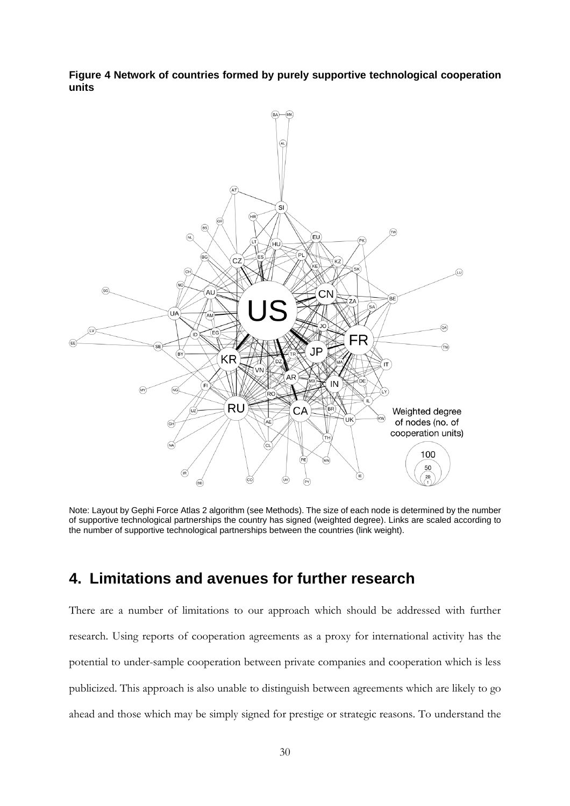**Figure 4 Network of countries formed by purely supportive technological cooperation units**



Note: Layout by Gephi Force Atlas 2 algorithm (se[e Methods\)](#page-4-0). The size of each node is determined by the number of supportive technological partnerships the country has signed (weighted degree). Links are scaled according to the number of supportive technological partnerships between the countries (link weight).

# **4. Limitations and avenues for further research**

There are a number of limitations to our approach which should be addressed with further research. Using reports of cooperation agreements as a proxy for international activity has the potential to under-sample cooperation between private companies and cooperation which is less publicized. This approach is also unable to distinguish between agreements which are likely to go ahead and those which may be simply signed for prestige or strategic reasons. To understand the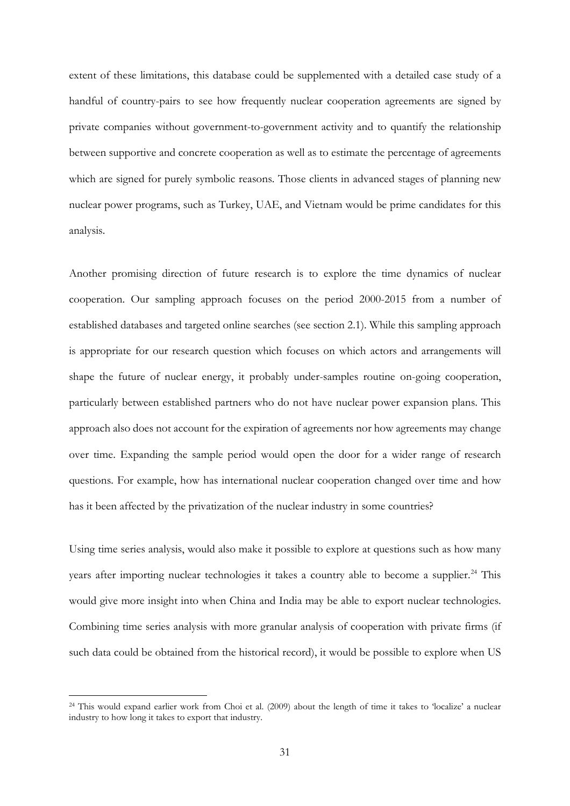extent of these limitations, this database could be supplemented with a detailed case study of a handful of country-pairs to see how frequently nuclear cooperation agreements are signed by private companies without government-to-government activity and to quantify the relationship between supportive and concrete cooperation as well as to estimate the percentage of agreements which are signed for purely symbolic reasons. Those clients in advanced stages of planning new nuclear power programs, such as Turkey, UAE, and Vietnam would be prime candidates for this analysis.

Another promising direction of future research is to explore the time dynamics of nuclear cooperation. Our sampling approach focuses on the period 2000-2015 from a number of established databases and targeted online searches (see section [2.1\)](#page-4-1). While this sampling approach is appropriate for our research question which focuses on which actors and arrangements will shape the future of nuclear energy, it probably under-samples routine on-going cooperation, particularly between established partners who do not have nuclear power expansion plans. This approach also does not account for the expiration of agreements nor how agreements may change over time. Expanding the sample period would open the door for a wider range of research questions. For example, how has international nuclear cooperation changed over time and how has it been affected by the privatization of the nuclear industry in some countries?

Using time series analysis, would also make it possible to explore at questions such as how many years after importing nuclear technologies it takes a country able to become a supplier.<sup>[24](#page-30-0)</sup> This would give more insight into when China and India may be able to export nuclear technologies. Combining time series analysis with more granular analysis of cooperation with private firms (if such data could be obtained from the historical record), it would be possible to explore when US

<span id="page-30-0"></span> <sup>24</sup> This would expand earlier work from Choi et al. (2009) about the length of time it takes to 'localize' a nuclear industry to how long it takes to export that industry.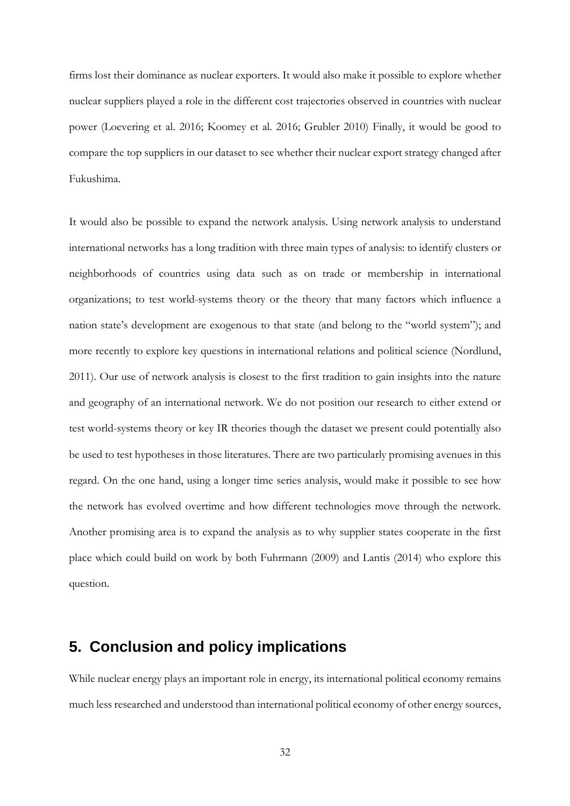firms lost their dominance as nuclear exporters. It would also make it possible to explore whether nuclear suppliers played a role in the different cost trajectories observed in countries with nuclear power (Loevering et al. 2016; Koomey et al. 2016; Grubler 2010) Finally, it would be good to compare the top suppliers in our dataset to see whether their nuclear export strategy changed after Fukushima.

It would also be possible to expand the network analysis. Using network analysis to understand international networks has a long tradition with three main types of analysis: to identify clusters or neighborhoods of countries using data such as on trade or membership in international organizations; to test world-systems theory or the theory that many factors which influence a nation state's development are exogenous to that state (and belong to the "world system"); and more recently to explore key questions in international relations and political science (Nordlund, 2011). Our use of network analysis is closest to the first tradition to gain insights into the nature and geography of an international network. We do not position our research to either extend or test world-systems theory or key IR theories though the dataset we present could potentially also be used to test hypotheses in those literatures. There are two particularly promising avenues in this regard. On the one hand, using a longer time series analysis, would make it possible to see how the network has evolved overtime and how different technologies move through the network. Another promising area is to expand the analysis as to why supplier states cooperate in the first place which could build on work by both Fuhrmann (2009) and Lantis (2014) who explore this question.

# **5. Conclusion and policy implications**

While nuclear energy plays an important role in energy, its international political economy remains much less researched and understood than international political economy of other energy sources,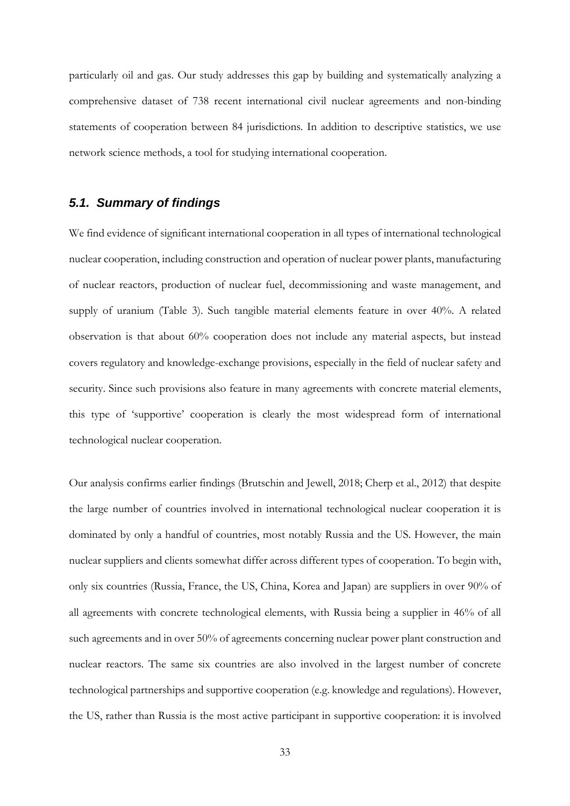particularly oil and gas. Our study addresses this gap by building and systematically analyzing a comprehensive dataset of 738 recent international civil nuclear agreements and non-binding statements of cooperation between 84 jurisdictions. In addition to descriptive statistics, we use network science methods, a tool for studying international cooperation.

#### *5.1. Summary of findings*

We find evidence of significant international cooperation in all types of international technological nuclear cooperation, including construction and operation of nuclear power plants, manufacturing of nuclear reactors, production of nuclear fuel, decommissioning and waste management, and supply of uranium (Table 3). Such tangible material elements feature in over 40%. A related observation is that about 60% cooperation does not include any material aspects, but instead covers regulatory and knowledge-exchange provisions, especially in the field of nuclear safety and security. Since such provisions also feature in many agreements with concrete material elements, this type of 'supportive' cooperation is clearly the most widespread form of international technological nuclear cooperation.

Our analysis confirms earlier findings (Brutschin and Jewell, 2018; Cherp et al., 2012) that despite the large number of countries involved in international technological nuclear cooperation it is dominated by only a handful of countries, most notably Russia and the US. However, the main nuclear suppliers and clients somewhat differ across different types of cooperation. To begin with, only six countries (Russia, France, the US, China, Korea and Japan) are suppliers in over 90% of all agreements with concrete technological elements, with Russia being a supplier in 46% of all such agreements and in over 50% of agreements concerning nuclear power plant construction and nuclear reactors. The same six countries are also involved in the largest number of concrete technological partnerships and supportive cooperation (e.g. knowledge and regulations). However, the US, rather than Russia is the most active participant in supportive cooperation: it is involved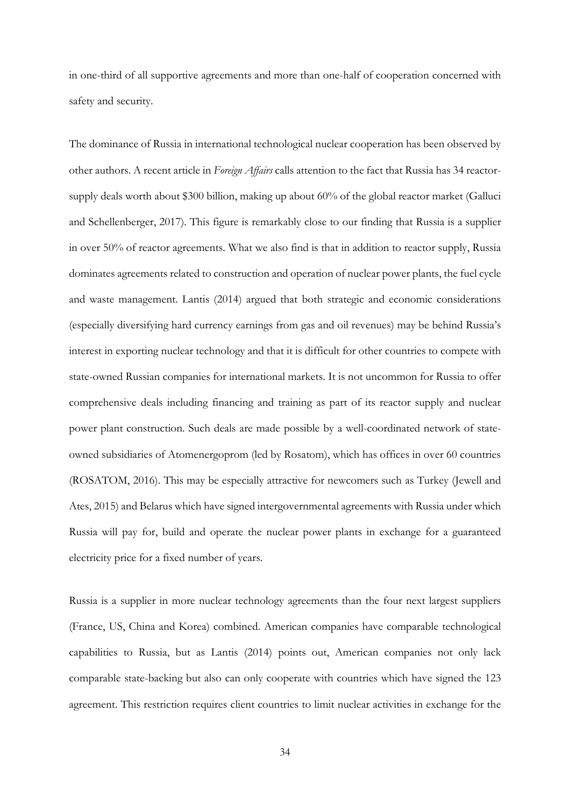in one-third of all supportive agreements and more than one-half of cooperation concerned with safety and security.

The dominance of Russia in international technological nuclear cooperation has been observed by other authors. A recent article in *Foreign Affairs* calls attention to the fact that Russia has 34 reactorsupply deals worth about \$300 billion, making up about 60% of the global reactor market (Galluci and Schellenberger, 2017). This figure is remarkably close to our finding that Russia is a supplier in over 50% of reactor agreements. What we also find is that in addition to reactor supply, Russia dominates agreements related to construction and operation of nuclear power plants, the fuel cycle and waste management. Lantis (2014) argued that both strategic and economic considerations (especially diversifying hard currency earnings from gas and oil revenues) may be behind Russia's interest in exporting nuclear technology and that it is difficult for other countries to compete with state-owned Russian companies for international markets. It is not uncommon for Russia to offer comprehensive deals including financing and training as part of its reactor supply and nuclear power plant construction. Such deals are made possible by a well-coordinated network of stateowned subsidiaries of Atomenergoprom (led by Rosatom), which has offices in over 60 countries (ROSATOM, 2016). This may be especially attractive for newcomers such as Turkey (Jewell and Ates, 2015) and Belarus which have signed intergovernmental agreements with Russia under which Russia will pay for, build and operate the nuclear power plants in exchange for a guaranteed electricity price for a fixed number of years.

Russia is a supplier in more nuclear technology agreements than the four next largest suppliers (France, US, China and Korea) combined. American companies have comparable technological capabilities to Russia, but as Lantis (2014) points out, American companies not only lack comparable state-backing but also can only cooperate with countries which have signed the 123 agreement. This restriction requires client countries to limit nuclear activities in exchange for the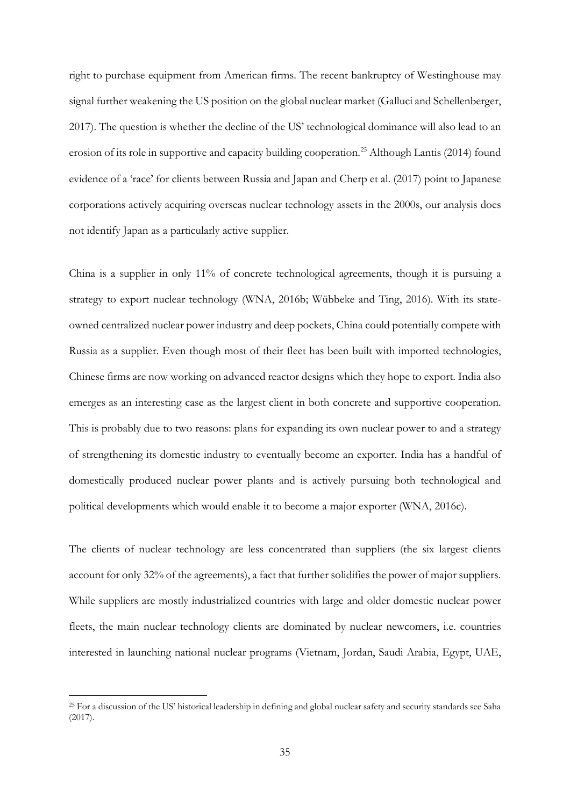right to purchase equipment from American firms. The recent bankruptcy of Westinghouse may signal further weakening the US position on the global nuclear market (Galluci and Schellenberger, 2017). The question is whether the decline of the US' technological dominance will also lead to an erosion of its role in supportive and capacity building cooperation. [25](#page-34-0) Although Lantis (2014) found evidence of a 'race' for clients between Russia and Japan and Cherp et al. (2017) point to Japanese corporations actively acquiring overseas nuclear technology assets in the 2000s, our analysis does not identify Japan as a particularly active supplier.

China is a supplier in only 11% of concrete technological agreements, though it is pursuing a strategy to export nuclear technology (WNA, 2016b; Wübbeke and Ting, 2016). With its stateowned centralized nuclear power industry and deep pockets, China could potentially compete with Russia as a supplier. Even though most of their fleet has been built with imported technologies, Chinese firms are now working on advanced reactor designs which they hope to export. India also emerges as an interesting case as the largest client in both concrete and supportive cooperation. This is probably due to two reasons: plans for expanding its own nuclear power to and a strategy of strengthening its domestic industry to eventually become an exporter. India has a handful of domestically produced nuclear power plants and is actively pursuing both technological and political developments which would enable it to become a major exporter (WNA, 2016c).

The clients of nuclear technology are less concentrated than suppliers (the six largest clients account for only 32% of the agreements), a fact that further solidifies the power of major suppliers. While suppliers are mostly industrialized countries with large and older domestic nuclear power fleets, the main nuclear technology clients are dominated by nuclear newcomers, i.e. countries interested in launching national nuclear programs (Vietnam, Jordan, Saudi Arabia, Egypt, UAE,

<span id="page-34-0"></span><sup>&</sup>lt;sup>25</sup> For a discussion of the US' historical leadership in defining and global nuclear safety and security standards see Saha (2017).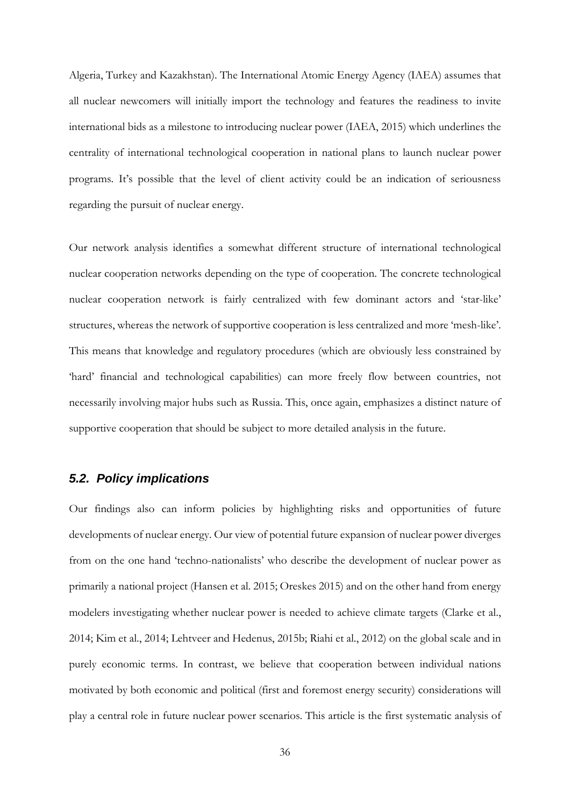Algeria, Turkey and Kazakhstan). The International Atomic Energy Agency (IAEA) assumes that all nuclear newcomers will initially import the technology and features the readiness to invite international bids as a milestone to introducing nuclear power (IAEA, 2015) which underlines the centrality of international technological cooperation in national plans to launch nuclear power programs. It's possible that the level of client activity could be an indication of seriousness regarding the pursuit of nuclear energy.

Our network analysis identifies a somewhat different structure of international technological nuclear cooperation networks depending on the type of cooperation. The concrete technological nuclear cooperation network is fairly centralized with few dominant actors and 'star-like' structures, whereas the network of supportive cooperation is less centralized and more 'mesh-like'. This means that knowledge and regulatory procedures (which are obviously less constrained by 'hard' financial and technological capabilities) can more freely flow between countries, not necessarily involving major hubs such as Russia. This, once again, emphasizes a distinct nature of supportive cooperation that should be subject to more detailed analysis in the future.

#### *5.2. Policy implications*

Our findings also can inform policies by highlighting risks and opportunities of future developments of nuclear energy. Our view of potential future expansion of nuclear power diverges from on the one hand 'techno-nationalists' who describe the development of nuclear power as primarily a national project (Hansen et al. 2015; Oreskes 2015) and on the other hand from energy modelers investigating whether nuclear power is needed to achieve climate targets (Clarke et al., 2014; Kim et al., 2014; Lehtveer and Hedenus, 2015b; Riahi et al., 2012) on the global scale and in purely economic terms. In contrast, we believe that cooperation between individual nations motivated by both economic and political (first and foremost energy security) considerations will play a central role in future nuclear power scenarios. This article is the first systematic analysis of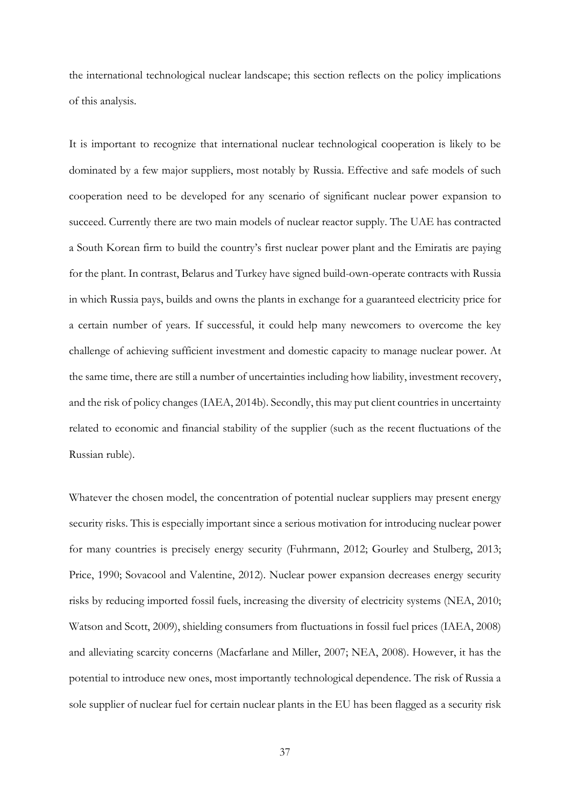the international technological nuclear landscape; this section reflects on the policy implications of this analysis.

It is important to recognize that international nuclear technological cooperation is likely to be dominated by a few major suppliers, most notably by Russia. Effective and safe models of such cooperation need to be developed for any scenario of significant nuclear power expansion to succeed. Currently there are two main models of nuclear reactor supply. The UAE has contracted a South Korean firm to build the country's first nuclear power plant and the Emiratis are paying for the plant. In contrast, Belarus and Turkey have signed build-own-operate contracts with Russia in which Russia pays, builds and owns the plants in exchange for a guaranteed electricity price for a certain number of years. If successful, it could help many newcomers to overcome the key challenge of achieving sufficient investment and domestic capacity to manage nuclear power. At the same time, there are still a number of uncertainties including how liability, investment recovery, and the risk of policy changes (IAEA, 2014b). Secondly, this may put client countries in uncertainty related to economic and financial stability of the supplier (such as the recent fluctuations of the Russian ruble).

Whatever the chosen model, the concentration of potential nuclear suppliers may present energy security risks. This is especially important since a serious motivation for introducing nuclear power for many countries is precisely energy security (Fuhrmann, 2012; Gourley and Stulberg, 2013; Price, 1990; Sovacool and Valentine, 2012). Nuclear power expansion decreases energy security risks by reducing imported fossil fuels, increasing the diversity of electricity systems (NEA, 2010; Watson and Scott, 2009), shielding consumers from fluctuations in fossil fuel prices (IAEA, 2008) and alleviating scarcity concerns (Macfarlane and Miller, 2007; NEA, 2008). However, it has the potential to introduce new ones, most importantly technological dependence. The risk of Russia a sole supplier of nuclear fuel for certain nuclear plants in the EU has been flagged as a security risk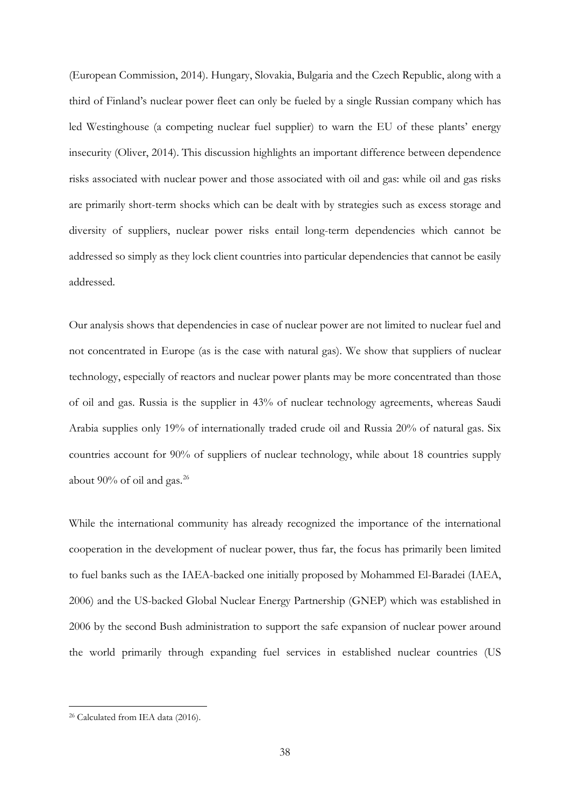(European Commission, 2014). Hungary, Slovakia, Bulgaria and the Czech Republic, along with a third of Finland's nuclear power fleet can only be fueled by a single Russian company which has led Westinghouse (a competing nuclear fuel supplier) to warn the EU of these plants' energy insecurity (Oliver, 2014). This discussion highlights an important difference between dependence risks associated with nuclear power and those associated with oil and gas: while oil and gas risks are primarily short-term shocks which can be dealt with by strategies such as excess storage and diversity of suppliers, nuclear power risks entail long-term dependencies which cannot be addressed so simply as they lock client countries into particular dependencies that cannot be easily addressed.

Our analysis shows that dependencies in case of nuclear power are not limited to nuclear fuel and not concentrated in Europe (as is the case with natural gas). We show that suppliers of nuclear technology, especially of reactors and nuclear power plants may be more concentrated than those of oil and gas. Russia is the supplier in 43% of nuclear technology agreements, whereas Saudi Arabia supplies only 19% of internationally traded crude oil and Russia 20% of natural gas. Six countries account for 90% of suppliers of nuclear technology, while about 18 countries supply about  $90\%$  of oil and gas.<sup>[26](#page-37-0)</sup>

While the international community has already recognized the importance of the international cooperation in the development of nuclear power, thus far, the focus has primarily been limited to fuel banks such as the IAEA-backed one initially proposed by Mohammed El-Baradei (IAEA, 2006) and the US-backed Global Nuclear Energy Partnership (GNEP) which was established in 2006 by the second Bush administration to support the safe expansion of nuclear power around the world primarily through expanding fuel services in established nuclear countries (US

<span id="page-37-0"></span> <sup>26</sup> Calculated from IEA data (2016).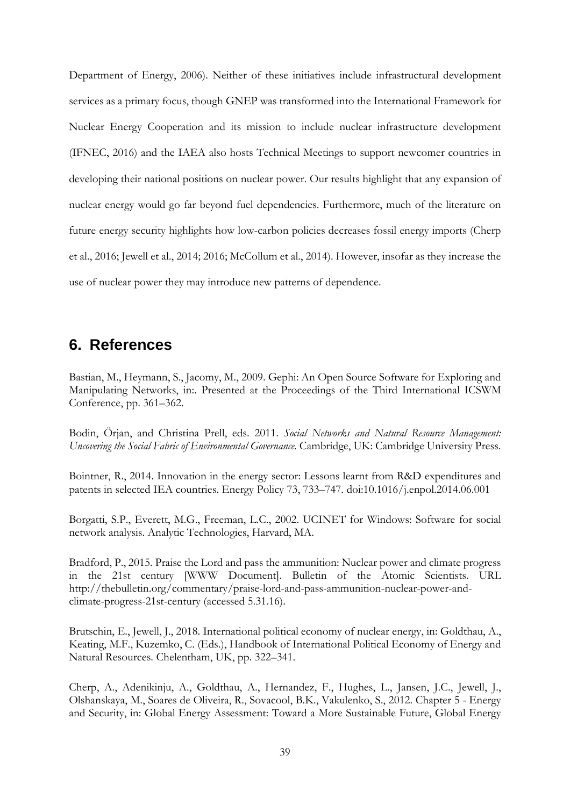Department of Energy, 2006). Neither of these initiatives include infrastructural development services as a primary focus, though GNEP was transformed into the International Framework for Nuclear Energy Cooperation and its mission to include nuclear infrastructure development (IFNEC, 2016) and the IAEA also hosts Technical Meetings to support newcomer countries in developing their national positions on nuclear power. Our results highlight that any expansion of nuclear energy would go far beyond fuel dependencies. Furthermore, much of the literature on future energy security highlights how low-carbon policies decreases fossil energy imports (Cherp et al., 2016; Jewell et al., 2014; 2016; McCollum et al., 2014). However, insofar as they increase the use of nuclear power they may introduce new patterns of dependence.

## **6. References**

Bastian, M., Heymann, S., Jacomy, M., 2009. Gephi: An Open Source Software for Exploring and Manipulating Networks, in:. Presented at the Proceedings of the Third International ICSWM Conference, pp. 361–362.

Bodin, Örjan, and Christina Prell, eds. 2011. *Social Networks and Natural Resource Management: Uncovering the Social Fabric of Environmental Governance*. Cambridge, UK: Cambridge University Press.

Bointner, R., 2014. Innovation in the energy sector: Lessons learnt from R&D expenditures and patents in selected IEA countries. Energy Policy 73, 733–747. doi:10.1016/j.enpol.2014.06.001

Borgatti, S.P., Everett, M.G., Freeman, L.C., 2002. UCINET for Windows: Software for social network analysis. Analytic Technologies, Harvard, MA.

Bradford, P., 2015. Praise the Lord and pass the ammunition: Nuclear power and climate progress in the 21st century [WWW Document]. Bulletin of the Atomic Scientists. URL http://thebulletin.org/commentary/praise-lord-and-pass-ammunition-nuclear-power-andclimate-progress-21st-century (accessed 5.31.16).

Brutschin, E., Jewell, J., 2018. International political economy of nuclear energy, in: Goldthau, A., Keating, M.F., Kuzemko, C. (Eds.), Handbook of International Political Economy of Energy and Natural Resources. Chelentham, UK, pp. 322–341.

Cherp, A., Adenikinju, A., Goldthau, A., Hernandez, F., Hughes, L., Jansen, J.C., Jewell, J., Olshanskaya, M., Soares de Oliveira, R., Sovacool, B.K., Vakulenko, S., 2012. Chapter 5 - Energy and Security, in: Global Energy Assessment: Toward a More Sustainable Future, Global Energy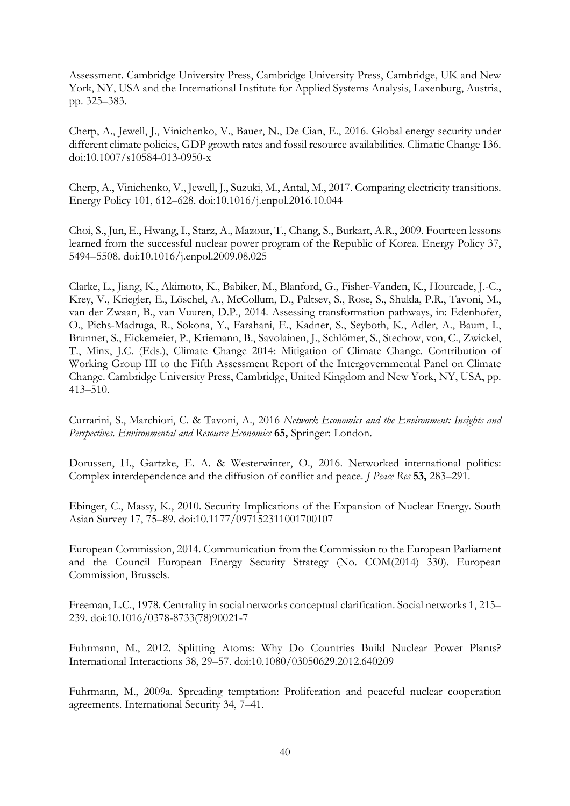Assessment. Cambridge University Press, Cambridge University Press, Cambridge, UK and New York, NY, USA and the International Institute for Applied Systems Analysis, Laxenburg, Austria, pp. 325–383.

Cherp, A., Jewell, J., Vinichenko, V., Bauer, N., De Cian, E., 2016. Global energy security under different climate policies, GDP growth rates and fossil resource availabilities. Climatic Change 136. doi:10.1007/s10584-013-0950-x

Cherp, A., Vinichenko, V., Jewell, J., Suzuki, M., Antal, M., 2017. Comparing electricity transitions. Energy Policy 101, 612–628. doi:10.1016/j.enpol.2016.10.044

Choi, S., Jun, E., Hwang, I., Starz, A., Mazour, T., Chang, S., Burkart, A.R., 2009. Fourteen lessons learned from the successful nuclear power program of the Republic of Korea. Energy Policy 37, 5494–5508. doi:10.1016/j.enpol.2009.08.025

Clarke, L., Jiang, K., Akimoto, K., Babiker, M., Blanford, G., Fisher-Vanden, K., Hourcade, J.-C., Krey, V., Kriegler, E., Löschel, A., McCollum, D., Paltsev, S., Rose, S., Shukla, P.R., Tavoni, M., van der Zwaan, B., van Vuuren, D.P., 2014. Assessing transformation pathways, in: Edenhofer, O., Pichs-Madruga, R., Sokona, Y., Farahani, E., Kadner, S., Seyboth, K., Adler, A., Baum, I., Brunner, S., Eickemeier, P., Kriemann, B., Savolainen, J., Schlömer, S., Stechow, von, C., Zwickel, T., Minx, J.C. (Eds.), Climate Change 2014: Mitigation of Climate Change. Contribution of Working Group III to the Fifth Assessment Report of the Intergovernmental Panel on Climate Change. Cambridge University Press, Cambridge, United Kingdom and New York, NY, USA, pp. 413–510.

Currarini, S., Marchiori, C. & Tavoni, A., 2016 *Network Economics and the Environment: Insights and Perspectives*. *Environmental and Resource Economics* **65,** Springer: London.

Dorussen, H., Gartzke, E. A. & Westerwinter, O., 2016. Networked international politics: Complex interdependence and the diffusion of conflict and peace. *J Peace Res* **53,** 283–291.

Ebinger, C., Massy, K., 2010. Security Implications of the Expansion of Nuclear Energy. South Asian Survey 17, 75–89. doi:10.1177/097152311001700107

European Commission, 2014. Communication from the Commission to the European Parliament and the Council European Energy Security Strategy (No. COM(2014) 330). European Commission, Brussels.

Freeman, L.C., 1978. Centrality in social networks conceptual clarification. Social networks 1, 215– 239. doi:10.1016/0378-8733(78)90021-7

Fuhrmann, M., 2012. Splitting Atoms: Why Do Countries Build Nuclear Power Plants? International Interactions 38, 29–57. doi:10.1080/03050629.2012.640209

Fuhrmann, M., 2009a. Spreading temptation: Proliferation and peaceful nuclear cooperation agreements. International Security 34, 7–41.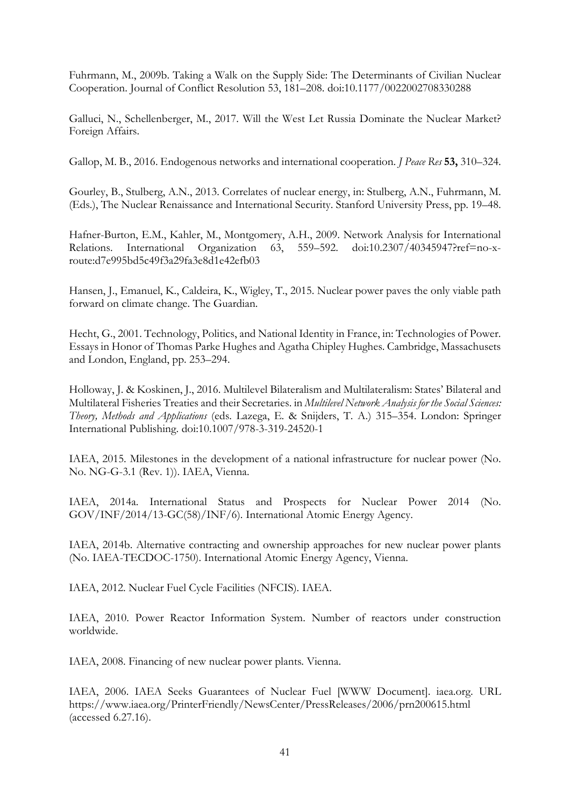Fuhrmann, M., 2009b. Taking a Walk on the Supply Side: The Determinants of Civilian Nuclear Cooperation. Journal of Conflict Resolution 53, 181–208. doi:10.1177/0022002708330288

Galluci, N., Schellenberger, M., 2017. Will the West Let Russia Dominate the Nuclear Market? Foreign Affairs.

Gallop, M. B., 2016. Endogenous networks and international cooperation. *J Peace Res* **53,** 310–324.

Gourley, B., Stulberg, A.N., 2013. Correlates of nuclear energy, in: Stulberg, A.N., Fuhrmann, M. (Eds.), The Nuclear Renaissance and International Security. Stanford University Press, pp. 19–48.

Hafner-Burton, E.M., Kahler, M., Montgomery, A.H., 2009. Network Analysis for International Relations. International Organization 63, 559–592. doi:10.2307/40345947?ref=no-xroute:d7e995bd5c49f3a29fa3e8d1e42efb03

Hansen, J., Emanuel, K., Caldeira, K., Wigley, T., 2015. Nuclear power paves the only viable path forward on climate change. The Guardian.

Hecht, G., 2001. Technology, Politics, and National Identity in France, in: Technologies of Power. Essays in Honor of Thomas Parke Hughes and Agatha Chipley Hughes. Cambridge, Massachusets and London, England, pp. 253–294.

Holloway, J. & Koskinen, J., 2016. Multilevel Bilateralism and Multilateralism: States' Bilateral and Multilateral Fisheries Treaties and their Secretaries. in *Multilevel Network Analysis for the Social Sciences: Theory, Methods and Applications* (eds. Lazega, E. & Snijders, T. A.) 315–354. London: Springer International Publishing. doi:10.1007/978-3-319-24520-1

IAEA, 2015. Milestones in the development of a national infrastructure for nuclear power (No. No. NG-G-3.1 (Rev. 1)). IAEA, Vienna.

IAEA, 2014a. International Status and Prospects for Nuclear Power 2014 (No. GOV/INF/2014/13-GC(58)/INF/6). International Atomic Energy Agency.

IAEA, 2014b. Alternative contracting and ownership approaches for new nuclear power plants (No. IAEA-TECDOC-1750). International Atomic Energy Agency, Vienna.

IAEA, 2012. Nuclear Fuel Cycle Facilities (NFCIS). IAEA.

IAEA, 2010. Power Reactor Information System. Number of reactors under construction worldwide.

IAEA, 2008. Financing of new nuclear power plants. Vienna.

IAEA, 2006. IAEA Seeks Guarantees of Nuclear Fuel [WWW Document]. iaea.org. URL https://www.iaea.org/PrinterFriendly/NewsCenter/PressReleases/2006/prn200615.html (accessed 6.27.16).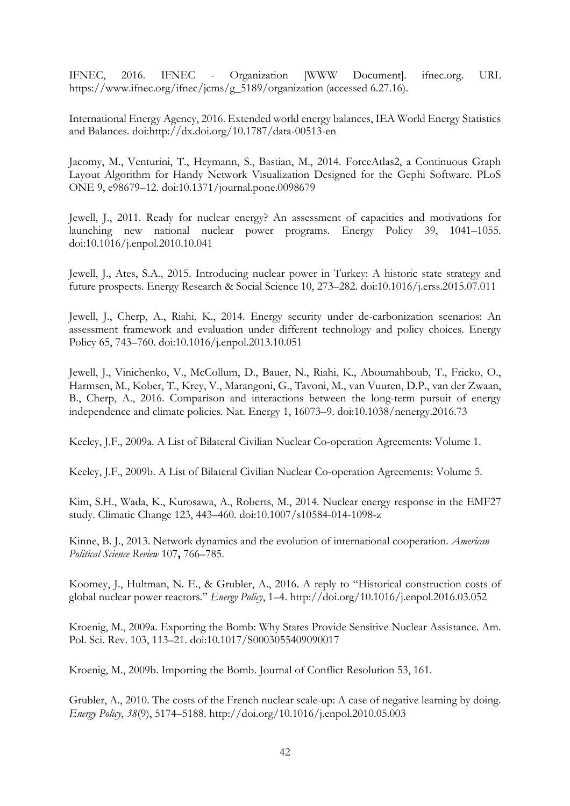IFNEC, 2016. IFNEC - Organization [WWW Document]. ifnec.org. URL https://www.ifnec.org/ifnec/jcms/g\_5189/organization (accessed 6.27.16).

International Energy Agency, 2016. Extended world energy balances, IEA World Energy Statistics and Balances. doi:http://dx.doi.org/10.1787/data-00513-en

Jacomy, M., Venturini, T., Heymann, S., Bastian, M., 2014. ForceAtlas2, a Continuous Graph Layout Algorithm for Handy Network Visualization Designed for the Gephi Software. PLoS ONE 9, e98679–12. doi:10.1371/journal.pone.0098679

Jewell, J., 2011. Ready for nuclear energy? An assessment of capacities and motivations for launching new national nuclear power programs. Energy Policy 39, 1041–1055. doi:10.1016/j.enpol.2010.10.041

Jewell, J., Ates, S.A., 2015. Introducing nuclear power in Turkey: A historic state strategy and future prospects. Energy Research & Social Science 10, 273–282. doi:10.1016/j.erss.2015.07.011

Jewell, J., Cherp, A., Riahi, K., 2014. Energy security under de-carbonization scenarios: An assessment framework and evaluation under different technology and policy choices. Energy Policy 65, 743–760. doi:10.1016/j.enpol.2013.10.051

Jewell, J., Vinichenko, V., McCollum, D., Bauer, N., Riahi, K., Aboumahboub, T., Fricko, O., Harmsen, M., Kober, T., Krey, V., Marangoni, G., Tavoni, M., van Vuuren, D.P., van der Zwaan, B., Cherp, A., 2016. Comparison and interactions between the long-term pursuit of energy independence and climate policies. Nat. Energy 1, 16073–9. doi:10.1038/nenergy.2016.73

Keeley, J.F., 2009a. A List of Bilateral Civilian Nuclear Co-operation Agreements: Volume 1.

Keeley, J.F., 2009b. A List of Bilateral Civilian Nuclear Co-operation Agreements: Volume 5.

Kim, S.H., Wada, K., Kurosawa, A., Roberts, M., 2014. Nuclear energy response in the EMF27 study. Climatic Change 123, 443–460. doi:10.1007/s10584-014-1098-z

Kinne, B. J., 2013. Network dynamics and the evolution of international cooperation. *American Political Science Review* 107**,** 766–785.

Koomey, J., Hultman, N. E., & Grubler, A., 2016. A reply to "Historical construction costs of global nuclear power reactors." *Energy Policy*, 1–4. http://doi.org/10.1016/j.enpol.2016.03.052

Kroenig, M., 2009a. Exporting the Bomb: Why States Provide Sensitive Nuclear Assistance. Am. Pol. Sci. Rev. 103, 113–21. doi:10.1017/S0003055409090017

Kroenig, M., 2009b. Importing the Bomb. Journal of Conflict Resolution 53, 161.

Grubler, A., 2010. The costs of the French nuclear scale-up: A case of negative learning by doing. *Energy Policy*, *38*(9), 5174–5188. http://doi.org/10.1016/j.enpol.2010.05.003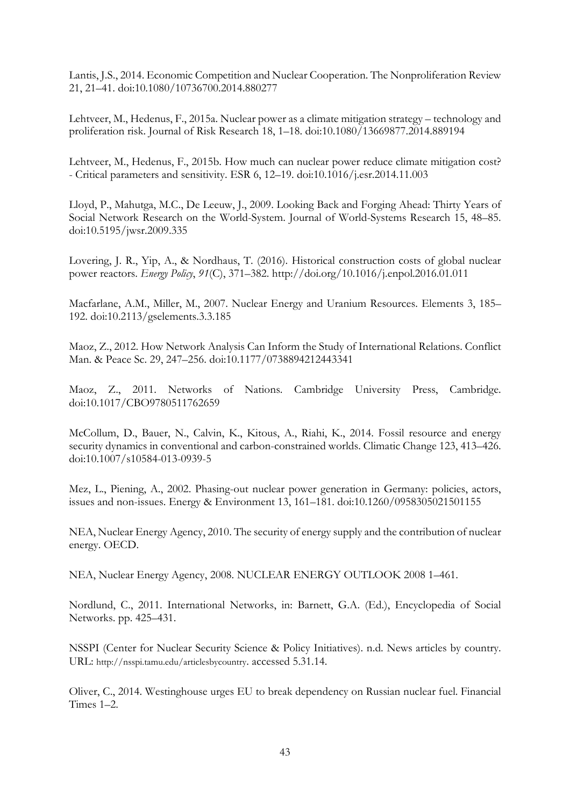Lantis, J.S., 2014. Economic Competition and Nuclear Cooperation. The Nonproliferation Review 21, 21–41. doi:10.1080/10736700.2014.880277

Lehtveer, M., Hedenus, F., 2015a. Nuclear power as a climate mitigation strategy – technology and proliferation risk. Journal of Risk Research 18, 1–18. doi:10.1080/13669877.2014.889194

Lehtveer, M., Hedenus, F., 2015b. How much can nuclear power reduce climate mitigation cost? - Critical parameters and sensitivity. ESR 6, 12–19. doi:10.1016/j.esr.2014.11.003

Lloyd, P., Mahutga, M.C., De Leeuw, J., 2009. Looking Back and Forging Ahead: Thirty Years of Social Network Research on the World-System. Journal of World-Systems Research 15, 48–85. doi:10.5195/jwsr.2009.335

Lovering, J. R., Yip, A., & Nordhaus, T. (2016). Historical construction costs of global nuclear power reactors. *Energy Policy*, *91*(C), 371–382. http://doi.org/10.1016/j.enpol.2016.01.011

Macfarlane, A.M., Miller, M., 2007. Nuclear Energy and Uranium Resources. Elements 3, 185– 192. doi:10.2113/gselements.3.3.185

Maoz, Z., 2012. How Network Analysis Can Inform the Study of International Relations. Conflict Man. & Peace Sc. 29, 247–256. doi:10.1177/0738894212443341

Maoz, Z., 2011. Networks of Nations. Cambridge University Press, Cambridge. doi:10.1017/CBO9780511762659

McCollum, D., Bauer, N., Calvin, K., Kitous, A., Riahi, K., 2014. Fossil resource and energy security dynamics in conventional and carbon-constrained worlds. Climatic Change 123, 413–426. doi:10.1007/s10584-013-0939-5

Mez, L., Piening, A., 2002. Phasing-out nuclear power generation in Germany: policies, actors, issues and non-issues. Energy & Environment 13, 161–181. doi:10.1260/0958305021501155

NEA, Nuclear Energy Agency, 2010. The security of energy supply and the contribution of nuclear energy. OECD.

NEA, Nuclear Energy Agency, 2008. NUCLEAR ENERGY OUTLOOK 2008 1–461.

Nordlund, C., 2011. International Networks, in: Barnett, G.A. (Ed.), Encyclopedia of Social Networks. pp. 425–431.

NSSPI (Center for Nuclear Security Science & Policy Initiatives). n.d. News articles by country. URL: [http://nsspi.tamu.edu/articlesbycountry.](http://nsspi.tamu.edu/articlesbycountry) accessed 5.31.14.

Oliver, C., 2014. Westinghouse urges EU to break dependency on Russian nuclear fuel. Financial Times 1–2.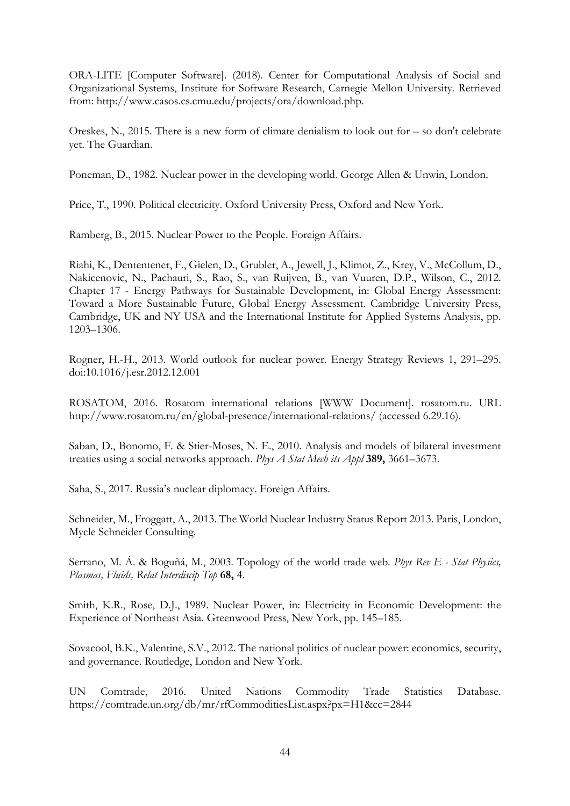ORA-LITE [Computer Software]. (2018). Center for Computational Analysis of Social and Organizational Systems, Institute for Software Research, Carnegie Mellon University. Retrieved from: [http://www.casos.cs.cmu.edu/projects/ora/download.php.](http://www.casos.cs.cmu.edu/projects/ora/download.php)

Oreskes, N., 2015. There is a new form of climate denialism to look out for – so don't celebrate yet. The Guardian.

Poneman, D., 1982. Nuclear power in the developing world. George Allen & Unwin, London.

Price, T., 1990. Political electricity. Oxford University Press, Oxford and New York.

Ramberg, B., 2015. Nuclear Power to the People. Foreign Affairs.

Riahi, K., Dententener, F., Gielen, D., Grubler, A., Jewell, J., Klimot, Z., Krey, V., McCollum, D., Nakicenovic, N., Pachauri, S., Rao, S., van Ruijven, B., van Vuuren, D.P., Wilson, C., 2012. Chapter 17 - Energy Pathways for Sustainable Development, in: Global Energy Assessment: Toward a More Sustainable Future, Global Energy Assessment. Cambridge University Press, Cambridge, UK and NY USA and the International Institute for Applied Systems Analysis, pp. 1203–1306.

Rogner, H.-H., 2013. World outlook for nuclear power. Energy Strategy Reviews 1, 291–295. doi:10.1016/j.esr.2012.12.001

ROSATOM, 2016. Rosatom international relations [WWW Document]. rosatom.ru. URL http://www.rosatom.ru/en/global-presence/international-relations/ (accessed 6.29.16).

Saban, D., Bonomo, F. & Stier-Moses, N. E., 2010. Analysis and models of bilateral investment treaties using a social networks approach. *Phys A Stat Mech its Appl* **389,** 3661–3673.

Saha, S., 2017. Russia's nuclear diplomacy. Foreign Affairs.

Schneider, M., Froggatt, A., 2013. The World Nuclear Industry Status Report 2013. Paris, London, Mycle Schneider Consulting.

Serrano, M. Á. & Boguñá, M., 2003. Topology of the world trade web. *Phys Rev E - Stat Physics, Plasmas, Fluids, Relat Interdiscip Top* **68,** 4.

Smith, K.R., Rose, D.J., 1989. Nuclear Power, in: Electricity in Economic Development: the Experience of Northeast Asia. Greenwood Press, New York, pp. 145–185.

Sovacool, B.K., Valentine, S.V., 2012. The national politics of nuclear power: economics, security, and governance. Routledge, London and New York.

UN Comtrade, 2016. United Nations Commodity Trade Statistics Database. https://comtrade.un.org/db/mr/rfCommoditiesList.aspx?px=H1&cc=2844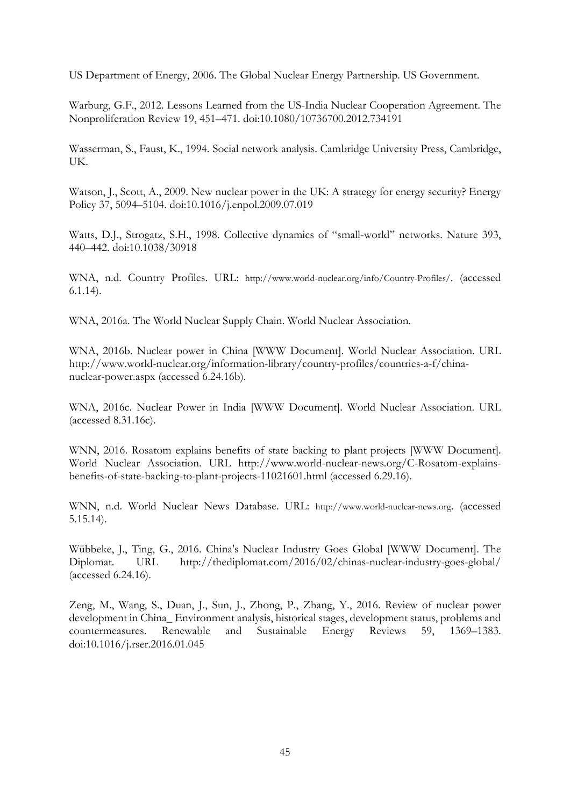US Department of Energy, 2006. The Global Nuclear Energy Partnership. US Government.

Warburg, G.F., 2012. Lessons Learned from the US-India Nuclear Cooperation Agreement. The Nonproliferation Review 19, 451–471. doi:10.1080/10736700.2012.734191

Wasserman, S., Faust, K., 1994. Social network analysis. Cambridge University Press, Cambridge, UK.

Watson, J., Scott, A., 2009. New nuclear power in the UK: A strategy for energy security? Energy Policy 37, 5094–5104. doi:10.1016/j.enpol.2009.07.019

Watts, D.J., Strogatz, S.H., 1998. Collective dynamics of "small-world" networks. Nature 393, 440–442. doi:10.1038/30918

WNA, n.d. Country Profiles. URL: [http://www.world-nuclear.org/info/Country-Profiles/.](http://www.world-nuclear.org/info/Country-Profiles/) (accessed 6.1.14).

WNA, 2016a. The World Nuclear Supply Chain. World Nuclear Association.

WNA, 2016b. Nuclear power in China [WWW Document]. World Nuclear Association. URL http://www.world-nuclear.org/information-library/country-profiles/countries-a-f/chinanuclear-power.aspx (accessed 6.24.16b).

WNA, 2016c. Nuclear Power in India [WWW Document]. World Nuclear Association. URL (accessed 8.31.16c).

WNN, 2016. Rosatom explains benefits of state backing to plant projects [WWW Document]. World Nuclear Association. URL http://www.world-nuclear-news.org/C-Rosatom-explainsbenefits-of-state-backing-to-plant-projects-11021601.html (accessed 6.29.16).

WNN, n.d. World Nuclear News Database. URL: [http://www.world-nuclear-news.org.](http://www.world-nuclear-news.org/) (accessed 5.15.14).

Wübbeke, J., Ting, G., 2016. China's Nuclear Industry Goes Global [WWW Document]. The Diplomat. URL http://thediplomat.com/2016/02/chinas-nuclear-industry-goes-global/ (accessed 6.24.16).

Zeng, M., Wang, S., Duan, J., Sun, J., Zhong, P., Zhang, Y., 2016. Review of nuclear power development in China\_ Environment analysis, historical stages, development status, problems and countermeasures. Renewable and Sustainable Energy Reviews 59, 1369–1383. doi:10.1016/j.rser.2016.01.045